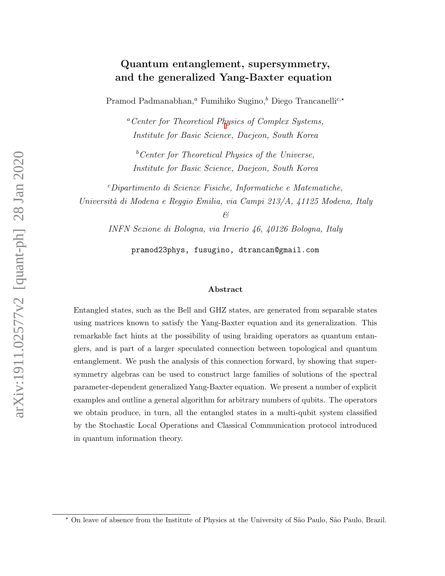### Quantum entanglement, supersymmetry, and the generalized Yang-Baxter equation

Pramod Padmanabhan,<sup>a</sup> Fumihiko Sugino,<sup>b</sup> Diego Trancanelli<sup>c,\*</sup>

<sup>a</sup>Center for Theoretical P[h](#page-0-0)ysics of Complex Systems, Institute for Basic Science, Daejeon, South Korea

 $b$ <sup>b</sup>Center for Theoretical Physics of the Universe, Institute for Basic Science, Daejeon, South Korea

<sup>c</sup>Dipartimento di Scienze Fisiche, Informatiche e Matematiche, Università di Modena e Reggio Emilia, via Campi 213/A, 41125 Modena, Italy

&

INFN Sezione di Bologna, via Irnerio 46, 40126 Bologna, Italy

pramod23phys, fusugino, dtrancan@gmail.com

#### Abstract

Entangled states, such as the Bell and GHZ states, are generated from separable states using matrices known to satisfy the Yang-Baxter equation and its generalization. This remarkable fact hints at the possibility of using braiding operators as quantum entanglers, and is part of a larger speculated connection between topological and quantum entanglement. We push the analysis of this connection forward, by showing that supersymmetry algebras can be used to construct large families of solutions of the spectral parameter-dependent generalized Yang-Baxter equation. We present a number of explicit examples and outline a general algorithm for arbitrary numbers of qubits. The operators we obtain produce, in turn, all the entangled states in a multi-qubit system classified by the Stochastic Local Operations and Classical Communication protocol introduced in quantum information theory.

<span id="page-0-0"></span><sup>\*</sup> On leave of absence from the Institute of Physics at the University of São Paulo, São Paulo, Brazil.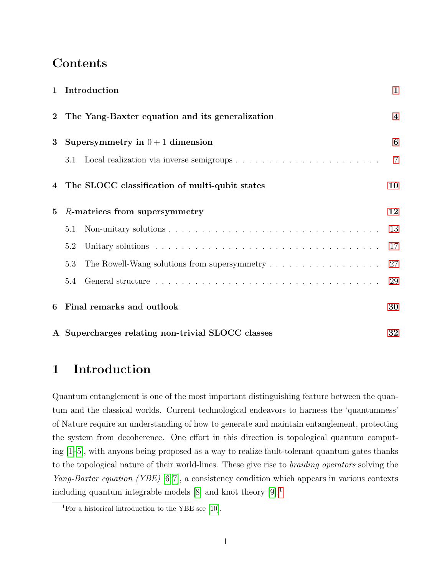# **Contents**

| $\mathbf{1}$   | Introduction                                                                              | $\mathbf{1}$            |
|----------------|-------------------------------------------------------------------------------------------|-------------------------|
| $\overline{2}$ | The Yang-Baxter equation and its generalization                                           | $\overline{\mathbf{4}}$ |
| $\bf{3}$       | Supersymmetry in $0+1$ dimension                                                          | 6                       |
|                | 3.1                                                                                       | $\overline{7}$          |
|                | 4 The SLOCC classification of multi-qubit states                                          | 10                      |
| $\bf{5}$       | R-matrices from supersymmetry                                                             | 12                      |
|                | 5.1                                                                                       | 13                      |
|                | 5.2                                                                                       | 17                      |
|                | The Rowell-Wang solutions from supersymmetry $\dots \dots \dots \dots \dots \dots$<br>5.3 | 27                      |
|                | 5.4                                                                                       | 29                      |
| 6              | Final remarks and outlook                                                                 | 30                      |
|                | A Supercharges relating non-trivial SLOCC classes                                         | 32                      |

# <span id="page-1-0"></span>1 Introduction

Quantum entanglement is one of the most important distinguishing feature between the quantum and the classical worlds. Current technological endeavors to harness the 'quantumness' of Nature require an understanding of how to generate and maintain entanglement, protecting the system from decoherence. One effort in this direction is topological quantum computing [\[1](#page-33-0)[–5\]](#page-33-1), with anyons being proposed as a way to realize fault-tolerant quantum gates thanks to the topological nature of their world-lines. These give rise to braiding operators solving the Yang-Baxter equation (YBE) [\[6,](#page-33-2)[7\]](#page-33-3), a consistency condition which appears in various contexts including quantum integrable models  $[8]$  and knot theory  $[9]$ <sup>[1](#page-1-1)</sup>

<span id="page-1-1"></span><sup>&</sup>lt;sup>1</sup>For a historical introduction to the YBE see [\[10\]](#page-33-6).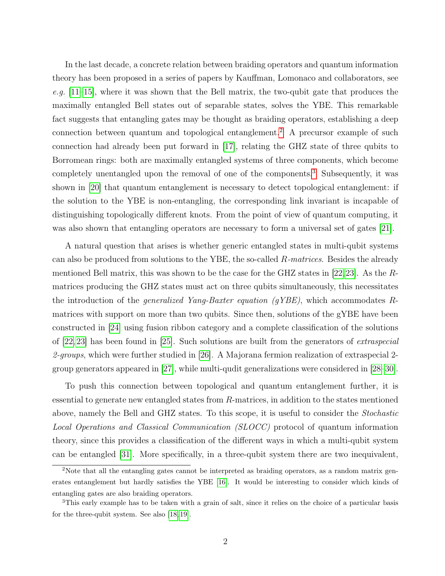In the last decade, a concrete relation between braiding operators and quantum information theory has been proposed in a series of papers by Kauffman, Lomonaco and collaborators, see e.g.  $[11-15]$  $[11-15]$ , where it was shown that the Bell matrix, the two-qubit gate that produces the maximally entangled Bell states out of separable states, solves the YBE. This remarkable fact suggests that entangling gates may be thought as braiding operators, establishing a deep connection between quantum and topological entanglement.[2](#page-2-0) A precursor example of such connection had already been put forward in [\[17\]](#page-33-9), relating the GHZ state of three qubits to Borromean rings: both are maximally entangled systems of three components, which become completely unentangled upon the removal of one of the components.<sup>[3](#page-2-1)</sup> Subsequently, it was shown in [\[20\]](#page-34-0) that quantum entanglement is necessary to detect topological entanglement: if the solution to the YBE is non-entangling, the corresponding link invariant is incapable of distinguishing topologically different knots. From the point of view of quantum computing, it was also shown that entangling operators are necessary to form a universal set of gates [\[21\]](#page-34-1).

A natural question that arises is whether generic entangled states in multi-qubit systems can also be produced from solutions to the YBE, the so-called R-matrices. Besides the already mentioned Bell matrix, this was shown to be the case for the GHZ states in [\[22,](#page-34-2)[23\]](#page-34-3). As the Rmatrices producing the GHZ states must act on three qubits simultaneously, this necessitates the introduction of the *generalized Yang-Baxter equation (gYBE)*, which accommodates  $R$ matrices with support on more than two qubits. Since then, solutions of the gYBE have been constructed in [\[24\]](#page-34-4) using fusion ribbon category and a complete classification of the solutions of [\[22,](#page-34-2) [23\]](#page-34-3) has been found in [\[25\]](#page-34-5). Such solutions are built from the generators of extraspecial 2-groups, which were further studied in [\[26\]](#page-34-6). A Majorana fermion realization of extraspecial 2group generators appeared in [\[27\]](#page-34-7), while multi-qudit generalizations were considered in [\[28–](#page-34-8)[30\]](#page-34-9).

To push this connection between topological and quantum entanglement further, it is essential to generate new entangled states from R-matrices, in addition to the states mentioned above, namely the Bell and GHZ states. To this scope, it is useful to consider the Stochastic Local Operations and Classical Communication (SLOCC) protocol of quantum information theory, since this provides a classification of the different ways in which a multi-qubit system can be entangled [\[31\]](#page-34-10). More specifically, in a three-qubit system there are two inequivalent,

<span id="page-2-0"></span><sup>&</sup>lt;sup>2</sup>Note that all the entangling gates cannot be interpreted as braiding operators, as a random matrix generates entanglement but hardly satisfies the YBE [\[16\]](#page-33-10). It would be interesting to consider which kinds of entangling gates are also braiding operators.

<span id="page-2-1"></span><sup>3</sup>This early example has to be taken with a grain of salt, since it relies on the choice of a particular basis for the three-qubit system. See also [\[18,](#page-33-11) [19\]](#page-34-11).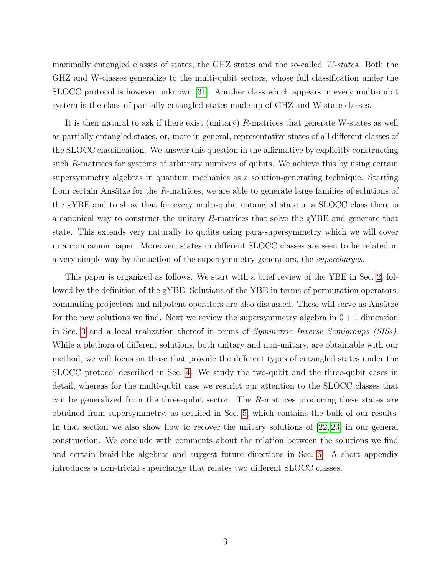maximally entangled classes of states, the GHZ states and the so-called W-states. Both the GHZ and W-classes generalize to the multi-qubit sectors, whose full classification under the SLOCC protocol is however unknown [\[31\]](#page-34-10). Another class which appears in every multi-qubit system is the class of partially entangled states made up of GHZ and W-state classes.

It is then natural to ask if there exist (unitary) R-matrices that generate W-states as well as partially entangled states, or, more in general, representative states of all different classes of the SLOCC classification. We answer this question in the affirmative by explicitly constructing such R-matrices for systems of arbitrary numbers of qubits. We achieve this by using certain supersymmetry algebras in quantum mechanics as a solution-generating technique. Starting from certain Ansätze for the  $R$ -matrices, we are able to generate large families of solutions of the gYBE and to show that for every multi-qubit entangled state in a SLOCC class there is a canonical way to construct the unitary  $R$ -matrices that solve the gYBE and generate that state. This extends very naturally to qudits using para-supersymmetry which we will cover in a companion paper. Moreover, states in different SLOCC classes are seen to be related in a very simple way by the action of the supersymmetry generators, the supercharges.

This paper is organized as follows. We start with a brief review of the YBE in Sec. [2,](#page-4-0) followed by the definition of the gYBE. Solutions of the YBE in terms of permutation operators, commuting projectors and nilpotent operators are also discussed. These will serve as Ansätze for the new solutions we find. Next we review the supersymmetry algebra in  $0+1$  dimension in Sec. [3](#page-6-0) and a local realization thereof in terms of Symmetric Inverse Semigroups (SISs). While a plethora of different solutions, both unitary and non-unitary, are obtainable with our method, we will focus on those that provide the different types of entangled states under the SLOCC protocol described in Sec. [4.](#page-10-0) We study the two-qubit and the three-qubit cases in detail, whereas for the multi-qubit case we restrict our attention to the SLOCC classes that can be generalized from the three-qubit sector. The R-matrices producing these states are obtained from supersymmetry, as detailed in Sec. [5,](#page-12-0) which contains the bulk of our results. In that section we also show how to recover the unitary solutions of [\[22,](#page-34-2) [23\]](#page-34-3) in our general construction. We conclude with comments about the relation between the solutions we find and certain braid-like algebras and suggest future directions in Sec. [6.](#page-30-0) A short appendix introduces a non-trivial supercharge that relates two different SLOCC classes.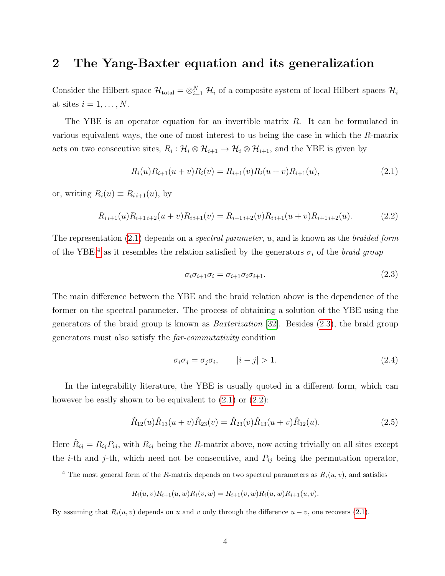### <span id="page-4-0"></span>2 The Yang-Baxter equation and its generalization

Consider the Hilbert space  $\mathcal{H}_{total} = \otimes_{i=1}^{N} \mathcal{H}_i$  of a composite system of local Hilbert spaces  $\mathcal{H}_i$ at sites  $i = 1, \ldots, N$ .

The YBE is an operator equation for an invertible matrix  $R$ . It can be formulated in various equivalent ways, the one of most interest to us being the case in which the R-matrix acts on two consecutive sites,  $R_i: \mathcal{H}_i \otimes \mathcal{H}_{i+1} \to \mathcal{H}_i \otimes \mathcal{H}_{i+1}$ , and the YBE is given by

<span id="page-4-1"></span>
$$
R_i(u)R_{i+1}(u+v)R_i(v) = R_{i+1}(v)R_i(u+v)R_{i+1}(u),
$$
\n(2.1)

or, writing  $R_i(u) \equiv R_{i,i+1}(u)$ , by

<span id="page-4-4"></span>
$$
R_{i\,i+1}(u)R_{i+1\,i+2}(u+v)R_{i\,i+1}(v) = R_{i+1\,i+2}(v)R_{i\,i+1}(u+v)R_{i+1\,i+2}(u). \tag{2.2}
$$

The representation  $(2.1)$  depends on a *spectral parameter*, u, and is known as the *braided form* of the YBE,<sup>[4](#page-4-2)</sup> as it resembles the relation satisfied by the generators  $\sigma_i$  of the *braid group* 

<span id="page-4-3"></span>
$$
\sigma_i \sigma_{i+1} \sigma_i = \sigma_{i+1} \sigma_i \sigma_{i+1}.
$$
\n(2.3)

The main difference between the YBE and the braid relation above is the dependence of the former on the spectral parameter. The process of obtaining a solution of the YBE using the generators of the braid group is known as Baxterization [\[32\]](#page-34-12). Besides [\(2.3\)](#page-4-3), the braid group generators must also satisfy the far-commutativity condition

$$
\sigma_i \sigma_j = \sigma_j \sigma_i, \qquad |i - j| > 1. \tag{2.4}
$$

In the integrability literature, the YBE is usually quoted in a different form, which can however be easily shown to be equivalent to  $(2.1)$  or  $(2.2)$ :

<span id="page-4-5"></span>
$$
\check{R}_{12}(u)\check{R}_{13}(u+v)\check{R}_{23}(v) = \check{R}_{23}(v)\check{R}_{13}(u+v)\check{R}_{12}(u). \tag{2.5}
$$

Here  $\check{R}_{ij} = R_{ij} P_{ij}$ , with  $R_{ij}$  being the R-matrix above, now acting trivially on all sites except the *i*-th and *j*-th, which need not be consecutive, and  $P_{ij}$  being the permutation operator,

$$
R_i(u, v)R_{i+1}(u, w)R_i(v, w) = R_{i+1}(v, w)R_i(u, w)R_{i+1}(u, v).
$$

By assuming that  $R_i(u, v)$  depends on u and v only through the difference  $u - v$ , one recovers [\(2.1\)](#page-4-1).

<span id="page-4-2"></span><sup>&</sup>lt;sup>4</sup> The most general form of the R-matrix depends on two spectral parameters as  $R_i(u, v)$ , and satisfies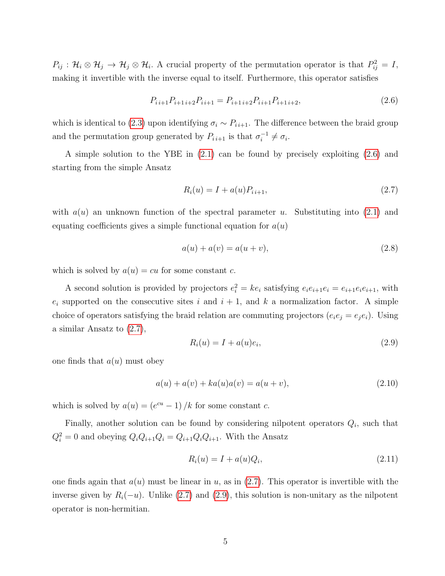$P_{ij}$ :  $\mathcal{H}_i \otimes \mathcal{H}_j \to \mathcal{H}_j \otimes \mathcal{H}_i$ . A crucial property of the permutation operator is that  $P_{ij}^2 = I$ , making it invertible with the inverse equal to itself. Furthermore, this operator satisfies

<span id="page-5-0"></span>
$$
P_{i,i+1}P_{i+1,i+2}P_{i,i+1} = P_{i+1,i+2}P_{i,i+1}P_{i+1,i+2},\tag{2.6}
$$

which is identical to [\(2.3\)](#page-4-3) upon identifying  $\sigma_i \sim P_{i,i+1}$ . The difference between the braid group and the permutation group generated by  $P_{i i+1}$  is that  $\sigma_i^{-1}$  $i^{-1} \neq \sigma_i$ .

A simple solution to the YBE in [\(2.1\)](#page-4-1) can be found by precisely exploiting [\(2.6\)](#page-5-0) and starting from the simple Ansatz

<span id="page-5-1"></span>
$$
R_i(u) = I + a(u)P_{i,i+1},
$$
\n(2.7)

with  $a(u)$  an unknown function of the spectral parameter u. Substituting into [\(2.1\)](#page-4-1) and equating coefficients gives a simple functional equation for  $a(u)$ 

$$
a(u) + a(v) = a(u + v),
$$
\n(2.8)

which is solved by  $a(u) = cu$  for some constant c.

A second solution is provided by projectors  $e_i^2 = ke_i$  satisfying  $e_i e_{i+1} e_i = e_{i+1} e_i e_{i+1}$ , with  $e_i$  supported on the consecutive sites i and  $i + 1$ , and k a normalization factor. A simple choice of operators satisfying the braid relation are commuting projectors  $(e_i e_j = e_j e_i)$ . Using a similar Ansatz to [\(2.7\)](#page-5-1),

<span id="page-5-2"></span>
$$
R_i(u) = I + a(u)e_i,
$$
\n
$$
(2.9)
$$

one finds that  $a(u)$  must obey

$$
a(u) + a(v) + ka(u)a(v) = a(u+v),
$$
\n(2.10)

which is solved by  $a(u) = (e^{cu} - 1) / k$  for some constant c.

Finally, another solution can be found by considering nilpotent operators  $Q_i$ , such that  $Q_i^2 = 0$  and obeying  $Q_i Q_{i+1} Q_i = Q_{i+1} Q_i Q_{i+1}$ . With the Ansatz

<span id="page-5-3"></span>
$$
R_i(u) = I + a(u)Q_i,
$$
\n
$$
(2.11)
$$

one finds again that  $a(u)$  must be linear in u, as in [\(2.7\)](#page-5-1). This operator is invertible with the inverse given by  $R_i(-u)$ . Unlike [\(2.7\)](#page-5-1) and [\(2.9\)](#page-5-2), this solution is non-unitary as the nilpotent operator is non-hermitian.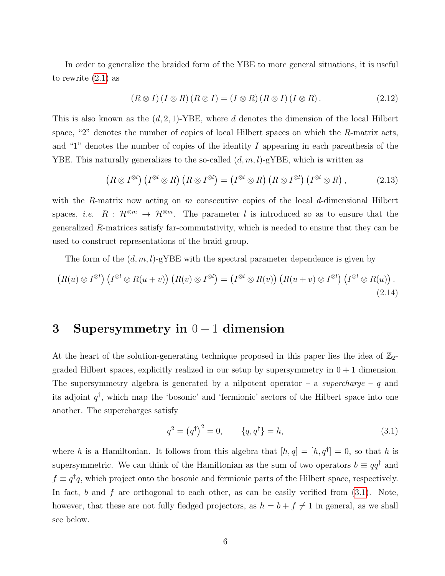In order to generalize the braided form of the YBE to more general situations, it is useful to rewrite [\(2.1\)](#page-4-1) as

$$
(R \otimes I)(I \otimes R)(R \otimes I) = (I \otimes R)(R \otimes I)(I \otimes R).
$$
\n(2.12)

This is also known as the  $(d, 2, 1)$ -YBE, where d denotes the dimension of the local Hilbert space, "2" denotes the number of copies of local Hilbert spaces on which the R-matrix acts, and "1" denotes the number of copies of the identity I appearing in each parenthesis of the YBE. This naturally generalizes to the so-called  $(d, m, l)$ -gYBE, which is written as

$$
(R \otimes I^{\otimes l}) (I^{\otimes l} \otimes R) (R \otimes I^{\otimes l}) = (I^{\otimes l} \otimes R) (R \otimes I^{\otimes l}) (I^{\otimes l} \otimes R), \qquad (2.13)
$$

with the R-matrix now acting on m consecutive copies of the local d-dimensional Hilbert spaces, *i.e.*  $R : \mathcal{H}^{\otimes m} \to \mathcal{H}^{\otimes m}$ . The parameter l is introduced so as to ensure that the generalized R-matrices satisfy far-commutativity, which is needed to ensure that they can be used to construct representations of the braid group.

The form of the  $(d, m, l)$ -gYBE with the spectral parameter dependence is given by

<span id="page-6-2"></span>
$$
(R(u)\otimes I^{\otimes l}) (I^{\otimes l}\otimes R(u+v)) (R(v)\otimes I^{\otimes l}) = (I^{\otimes l}\otimes R(v)) (R(u+v)\otimes I^{\otimes l}) (I^{\otimes l}\otimes R(u)).
$$
\n(2.14)

## <span id="page-6-0"></span>3 Supersymmetry in  $0+1$  dimension

At the heart of the solution-generating technique proposed in this paper lies the idea of  $\mathbb{Z}_2$ graded Hilbert spaces, explicitly realized in our setup by supersymmetry in  $0 + 1$  dimension. The supersymmetry algebra is generated by a nilpotent operator – a supercharge –  $q$  and its adjoint  $q^{\dagger}$ , which map the 'bosonic' and 'fermionic' sectors of the Hilbert space into one another. The supercharges satisfy

<span id="page-6-1"></span>
$$
q^2 = (q^{\dagger})^2 = 0, \qquad \{q, q^{\dagger}\} = h,
$$
\n(3.1)

where h is a Hamiltonian. It follows from this algebra that  $[h,q] = [h,q^{\dagger}] = 0$ , so that h is supersymmetric. We can think of the Hamiltonian as the sum of two operators  $b \equiv qq^{\dagger}$  and  $f \equiv q^{\dagger}q$ , which project onto the bosonic and fermionic parts of the Hilbert space, respectively. In fact, b and f are orthogonal to each other, as can be easily verified from  $(3.1)$ . Note, however, that these are not fully fledged projectors, as  $h = b + f \neq 1$  in general, as we shall see below.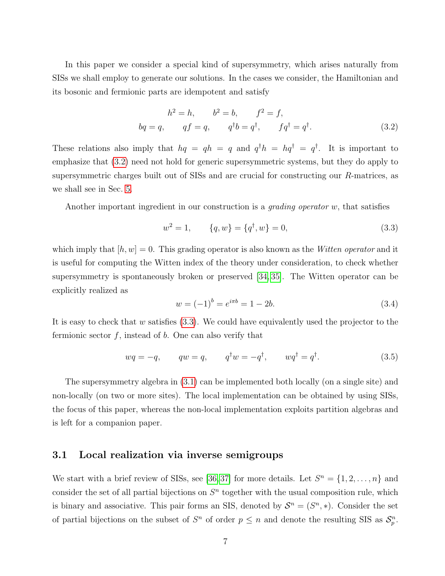In this paper we consider a special kind of supersymmetry, which arises naturally from SISs we shall employ to generate our solutions. In the cases we consider, the Hamiltonian and its bosonic and fermionic parts are idempotent and satisfy

<span id="page-7-1"></span>
$$
h^{2} = h, \t b^{2} = b, \t f^{2} = f,
$$
  

$$
bq = q, \t qf = q, \t q^{\dagger}b = q^{\dagger}, \t fq^{\dagger} = q^{\dagger}.
$$
 (3.2)

These relations also imply that  $hq = qh = q$  and  $q^{\dagger}h = hq^{\dagger} = q^{\dagger}$ . It is important to emphasize that [\(3.2\)](#page-7-1) need not hold for generic supersymmetric systems, but they do apply to supersymmetric charges built out of SISs and are crucial for constructing our R-matrices, as we shall see in Sec. [5.](#page-12-0)

Another important ingredient in our construction is a *grading operator w*, that satisfies

<span id="page-7-2"></span>
$$
w^2 = 1, \qquad \{q, w\} = \{q^\dagger, w\} = 0,\tag{3.3}
$$

which imply that  $[h, w] = 0$ . This grading operator is also known as the Witten operator and it is useful for computing the Witten index of the theory under consideration, to check whether supersymmetry is spontaneously broken or preserved [\[34,](#page-34-13) [35\]](#page-34-14). The Witten operator can be explicitly realized as

<span id="page-7-3"></span>
$$
w = (-1)^b = e^{i\pi b} = 1 - 2b.
$$
\n(3.4)

It is easy to check that  $w$  satisfies [\(3.3\)](#page-7-2). We could have equivalently used the projector to the fermionic sector  $f$ , instead of  $b$ . One can also verify that

<span id="page-7-4"></span>
$$
wq = -q, \qquad qw = q, \qquad q^{\dagger}w = -q^{\dagger}, \qquad wq^{\dagger} = q^{\dagger}.
$$
 (3.5)

The supersymmetry algebra in [\(3.1\)](#page-6-1) can be implemented both locally (on a single site) and non-locally (on two or more sites). The local implementation can be obtained by using SISs, the focus of this paper, whereas the non-local implementation exploits partition algebras and is left for a companion paper.

#### <span id="page-7-0"></span>3.1 Local realization via inverse semigroups

We start with a brief review of SISs, see [\[36,](#page-34-15)37] for more details. Let  $S<sup>n</sup> = \{1, 2, ..., n\}$  and consider the set of all partial bijections on  $S<sup>n</sup>$  together with the usual composition rule, which is binary and associative. This pair forms an SIS, denoted by  $S<sup>n</sup> = (S<sup>n</sup>, *)$ . Consider the set of partial bijections on the subset of  $S<sup>n</sup>$  of order  $p \leq n$  and denote the resulting SIS as  $\mathcal{S}_{p}^{n}$ .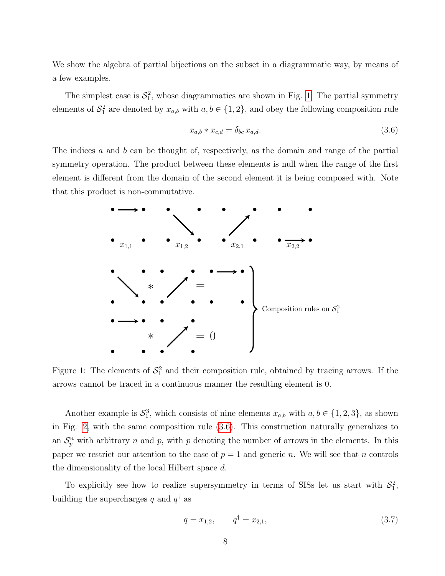We show the algebra of partial bijections on the subset in a diagrammatic way, by means of a few examples.

The simplest case is  $S_1^2$ , whose diagrammatics are shown in Fig. [1.](#page-8-0) The partial symmetry elements of  $S_1^2$  are denoted by  $x_{a,b}$  with  $a, b \in \{1, 2\}$ , and obey the following composition rule

<span id="page-8-1"></span>
$$
x_{a,b} * x_{c,d} = \delta_{bc} x_{a,d}.\tag{3.6}
$$

The indices a and b can be thought of, respectively, as the domain and range of the partial symmetry operation. The product between these elements is null when the range of the first element is different from the domain of the second element it is being composed with. Note that this product is non-commutative.

<span id="page-8-0"></span>

Figure 1: The elements of  $S_1^2$  and their composition rule, obtained by tracing arrows. If the arrows cannot be traced in a continuous manner the resulting element is 0.

Another example is  $S_1^3$ , which consists of nine elements  $x_{a,b}$  with  $a, b \in \{1, 2, 3\}$ , as shown in Fig. [2,](#page-9-0) with the same composition rule [\(3.6\)](#page-8-1). This construction naturally generalizes to an  $S_p^n$  with arbitrary n and p, with p denoting the number of arrows in the elements. In this paper we restrict our attention to the case of  $p = 1$  and generic n. We will see that n controls the dimensionality of the local Hilbert space d.

To explicitly see how to realize supersymmetry in terms of SISs let us start with  $S_1^2$ , building the supercharges q and  $q^{\dagger}$  as

<span id="page-8-2"></span>
$$
q = x_{1,2}, \qquad q^{\dagger} = x_{2,1}, \tag{3.7}
$$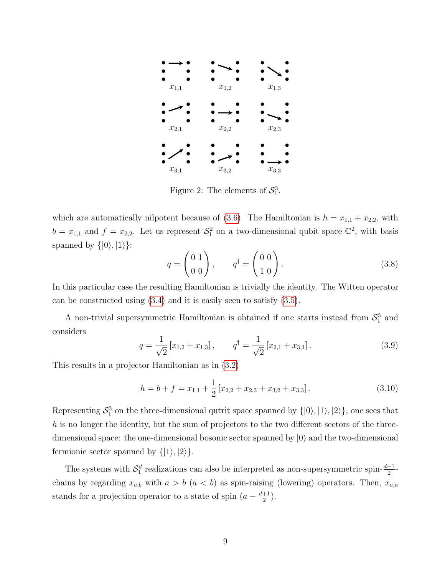<span id="page-9-0"></span>

Figure 2: The elements of  $S_1^3$ .

which are automatically nilpotent because of [\(3.6\)](#page-8-1). The Hamiltonian is  $h = x_{1,1} + x_{2,2}$ , with  $b = x_{1,1}$  and  $f = x_{2,2}$ . Let us represent  $S_1^2$  on a two-dimensional qubit space  $\mathbb{C}^2$ , with basis spanned by  $\{|0\rangle, |1\rangle\}$ :

$$
q = \begin{pmatrix} 0 & 1 \\ 0 & 0 \end{pmatrix}, \qquad q^{\dagger} = \begin{pmatrix} 0 & 0 \\ 1 & 0 \end{pmatrix}.
$$
 (3.8)

In this particular case the resulting Hamiltonian is trivially the identity. The Witten operator can be constructed using [\(3.4\)](#page-7-3) and it is easily seen to satisfy [\(3.5\)](#page-7-4).

A non-trivial supersymmetric Hamiltonian is obtained if one starts instead from  $S_1^3$  and considers

<span id="page-9-1"></span>
$$
q = \frac{1}{\sqrt{2}} \left[ x_{1,2} + x_{1,3} \right], \qquad q^{\dagger} = \frac{1}{\sqrt{2}} \left[ x_{2,1} + x_{3,1} \right]. \tag{3.9}
$$

This results in a projector Hamiltonian as in [\(3.2\)](#page-7-1)

$$
h = b + f = x_{1,1} + \frac{1}{2} [x_{2,2} + x_{2,3} + x_{3,2} + x_{3,3}].
$$
\n(3.10)

Representing  $S_1^3$  on the three-dimensional qutrit space spanned by  $\{|0\rangle, |1\rangle, |2\rangle\}$ , one sees that  $h$  is no longer the identity, but the sum of projectors to the two different sectors of the threedimensional space: the one-dimensional bosonic sector spanned by  $|0\rangle$  and the two-dimensional fermionic sector spanned by  $\{|1\rangle, |2\rangle\}.$ 

The systems with  $S_1^d$  realizations can also be interpreted as non-supersymmetric spin- $\frac{d-1}{2}$ chains by regarding  $x_{a,b}$  with  $a > b$  ( $a < b$ ) as spin-raising (lowering) operators. Then,  $x_{a,a}$ stands for a projection operator to a state of spin  $(a - \frac{d+1}{2})$  $\frac{+1}{2}$ ).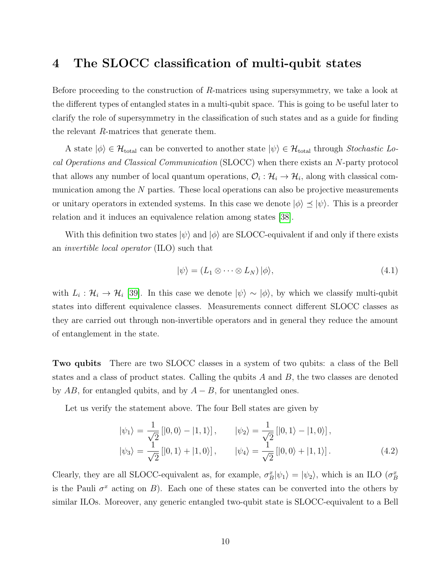### <span id="page-10-0"></span>4 The SLOCC classification of multi-qubit states

Before proceeding to the construction of R-matrices using supersymmetry, we take a look at the different types of entangled states in a multi-qubit space. This is going to be useful later to clarify the role of supersymmetry in the classification of such states and as a guide for finding the relevant R-matrices that generate them.

A state  $|\phi\rangle \in \mathcal{H}_{total}$  can be converted to another state  $|\psi\rangle \in \mathcal{H}_{total}$  through Stochastic Local Operations and Classical Communication (SLOCC) when there exists an N-party protocol that allows any number of local quantum operations,  $\mathcal{O}_i : \mathcal{H}_i \to \mathcal{H}_i$ , along with classical communication among the  $N$  parties. These local operations can also be projective measurements or unitary operators in extended systems. In this case we denote  $|\phi\rangle \preceq |\psi\rangle$ . This is a preorder relation and it induces an equivalence relation among states [\[38\]](#page-35-0).

With this definition two states  $|\psi\rangle$  and  $|\phi\rangle$  are SLOCC-equivalent if and only if there exists an invertible local operator (ILO) such that

$$
|\psi\rangle = (L_1 \otimes \cdots \otimes L_N) |\phi\rangle, \tag{4.1}
$$

with  $L_i: \mathcal{H}_i \to \mathcal{H}_i$  [\[39\]](#page-35-1). In this case we denote  $|\psi\rangle \sim |\phi\rangle$ , by which we classify multi-qubit states into different equivalence classes. Measurements connect different SLOCC classes as they are carried out through non-invertible operators and in general they reduce the amount of entanglement in the state.

Two qubits There are two SLOCC classes in a system of two qubits: a class of the Bell states and a class of product states. Calling the qubits  $A$  and  $B$ , the two classes are denoted by  $AB$ , for entangled qubits, and by  $A - B$ , for unentangled ones.

Let us verify the statement above. The four Bell states are given by

<span id="page-10-1"></span>
$$
|\psi_1\rangle = \frac{1}{\sqrt{2}} [|0, 0\rangle - |1, 1\rangle], \qquad |\psi_2\rangle = \frac{1}{\sqrt{2}} [|0, 1\rangle - |1, 0\rangle],
$$
  

$$
|\psi_3\rangle = \frac{1}{\sqrt{2}} [|0, 1\rangle + |1, 0\rangle], \qquad |\psi_4\rangle = \frac{1}{\sqrt{2}} [|0, 0\rangle + |1, 1\rangle].
$$
 (4.2)

Clearly, they are all SLOCC-equivalent as, for example,  $\sigma_B^x|\psi_1\rangle = |\psi_2\rangle$ , which is an ILO  $(\sigma_B^x)$ is the Pauli  $\sigma^x$  acting on B). Each one of these states can be converted into the others by similar ILOs. Moreover, any generic entangled two-qubit state is SLOCC-equivalent to a Bell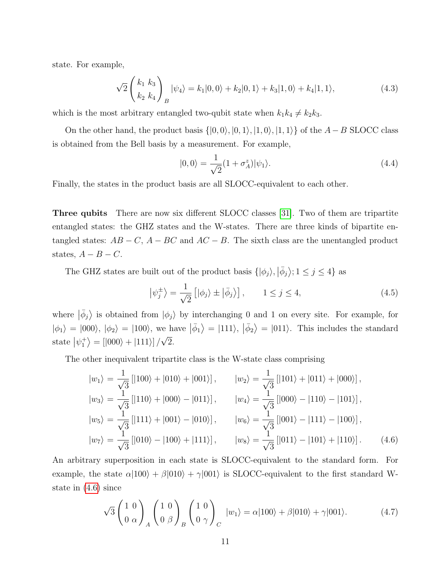state. For example,

$$
\sqrt{2}\left(\frac{k_1 k_3}{k_2 k_4}\right)_B |\psi_4\rangle = k_1 |0,0\rangle + k_2 |0,1\rangle + k_3 |1,0\rangle + k_4 |1,1\rangle, \tag{4.3}
$$

which is the most arbitrary entangled two-qubit state when  $k_1k_4 \neq k_2k_3$ .

On the other hand, the product basis  $\{|0,0\rangle, |0,1\rangle, |1,0\rangle, |1,1\rangle\}$  of the  $A - B$  SLOCC class is obtained from the Bell basis by a measurement. For example,

$$
|0,0\rangle = \frac{1}{\sqrt{2}}(1+\sigma_A^z)|\psi_1\rangle.
$$
 (4.4)

Finally, the states in the product basis are all SLOCC-equivalent to each other.

Three qubits There are now six different SLOCC classes [\[31\]](#page-34-10). Two of them are tripartite entangled states: the GHZ states and the W-states. There are three kinds of bipartite entangled states:  $AB - C$ ,  $A - BC$  and  $AC - B$ . The sixth class are the unentangled product states,  $A - B - C$ .

The GHZ states are built out of the product basis  $\{|\phi_j\rangle, |\bar{\phi}_j\rangle; 1 \le j \le 4\}$  as

<span id="page-11-1"></span>
$$
\left|\psi_j^{\pm}\right\rangle = \frac{1}{\sqrt{2}}\left[\left|\phi_j\right\rangle \pm \left|\bar{\phi}_j\right\rangle\right], \qquad 1 \le j \le 4,
$$
\n(4.5)

where  $|\bar{\phi}_j\rangle$  is obtained from  $|\phi_j\rangle$  by interchanging 0 and 1 on every site. For example, for  $|\phi_1\rangle = |000\rangle, |\phi_2\rangle = |100\rangle$ , we have  $|\bar{\phi}_1\rangle = |111\rangle, |\bar{\phi}_2\rangle = |011\rangle$ . This includes the standard state  $|\psi_1^+\rangle = [|000\rangle + |111\rangle]/\sqrt{2}$ . √

The other inequivalent tripartite class is the W-state class comprising

<span id="page-11-0"></span>
$$
|w_1\rangle = \frac{1}{\sqrt{3}}[|100\rangle + |010\rangle + |001\rangle], \qquad |w_2\rangle = \frac{1}{\sqrt{3}}[|101\rangle + |011\rangle + |000\rangle],
$$
  
\n
$$
|w_3\rangle = \frac{1}{\sqrt{3}}[|110\rangle + |000\rangle - |011\rangle], \qquad |w_4\rangle = \frac{1}{\sqrt{3}}[|000\rangle - |110\rangle - |101\rangle],
$$
  
\n
$$
|w_5\rangle = \frac{1}{\sqrt{3}}[|111\rangle + |001\rangle - |010\rangle], \qquad |w_6\rangle = \frac{1}{\sqrt{3}}[|001\rangle - |111\rangle - |100\rangle],
$$
  
\n
$$
|w_7\rangle = \frac{1}{\sqrt{3}}[|010\rangle - |100\rangle + |111\rangle], \qquad |w_8\rangle = \frac{1}{\sqrt{3}}[|011\rangle - |101\rangle + |110\rangle]. \qquad (4.6)
$$

An arbitrary superposition in each state is SLOCC-equivalent to the standard form. For example, the state  $\alpha|100\rangle + \beta|010\rangle + \gamma|001\rangle$  is SLOCC-equivalent to the first standard Wstate in [\(4.6\)](#page-11-0) since

$$
\sqrt{3}\left(\begin{array}{cc}1&0\\0&\alpha\end{array}\right)_A\left(\begin{array}{cc}1&0\\0&\beta\end{array}\right)_B\left(\begin{array}{cc}1&0\\0&\gamma\end{array}\right)_C|w_1\rangle = \alpha|100\rangle + \beta|010\rangle + \gamma|001\rangle.
$$
 (4.7)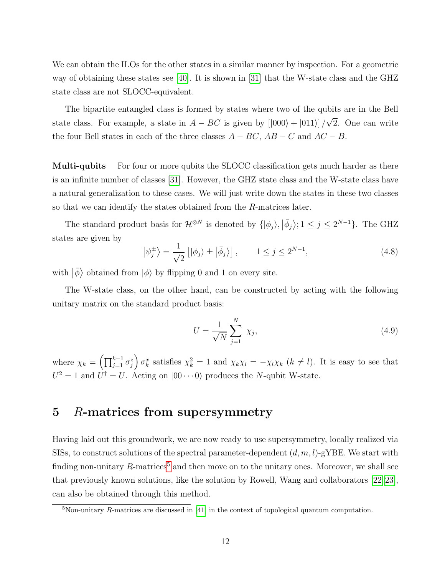We can obtain the ILOs for the other states in a similar manner by inspection. For a geometric way of obtaining these states see [\[40\]](#page-35-2). It is shown in [\[31\]](#page-34-10) that the W-state class and the GHZ state class are not SLOCC-equivalent.

The bipartite entangled class is formed by states where two of the qubits are in the Bell state class. For example, a state in  $A - BC$  is given by  $[1000\rangle + 1011\rangle$ √ 2. One can write the four Bell states in each of the three classes  $A - BC$ ,  $AB - C$  and  $AC - B$ .

**Multi-qubits** For four or more qubits the SLOCC classification gets much harder as there is an infinite number of classes [\[31\]](#page-34-10). However, the GHZ state class and the W-state class have a natural generalization to these cases. We will just write down the states in these two classes so that we can identify the states obtained from the R-matrices later.

The standard product basis for  $\mathcal{H}^{\otimes N}$  is denoted by  $\{|\phi_j\rangle, |\bar{\phi}_j\rangle; 1 \le j \le 2^{N-1}\}$ . The GHZ states are given by

$$
\left|\psi_j^{\pm}\right\rangle = \frac{1}{\sqrt{2}}\left[\left|\phi_j\right\rangle \pm \left|\bar{\phi}_j\right\rangle\right], \qquad 1 \le j \le 2^{N-1},\tag{4.8}
$$

with  $|\bar{\phi}\rangle$  obtained from  $|\phi\rangle$  by flipping 0 and 1 on every site.

The W-state class, on the other hand, can be constructed by acting with the following unitary matrix on the standard product basis:

<span id="page-12-2"></span>
$$
U = \frac{1}{\sqrt{N}} \sum_{j=1}^{N} \chi_j,
$$
\n(4.9)

where  $\chi_k = \left(\prod_{j=1}^{k-1} \sigma_j^z\right) \sigma_k^x$  satisfies  $\chi_k^2 = 1$  and  $\chi_k \chi_l = -\chi_l \chi_k$   $(k \neq l)$ . It is easy to see that  $U^2 = 1$  and  $U^{\dagger} = U$ . Acting on  $|00 \cdots 0\rangle$  produces the N-qubit W-state.

## <span id="page-12-0"></span>5 R-matrices from supersymmetry

Having laid out this groundwork, we are now ready to use supersymmetry, locally realized via SISs, to construct solutions of the spectral parameter-dependent  $(d, m, l)$ -gYBE. We start with finding non-unitary  $R$ -matrices<sup>[5](#page-12-1)</sup> and then move on to the unitary ones. Moreover, we shall see that previously known solutions, like the solution by Rowell, Wang and collaborators [\[22,](#page-34-2)[23\]](#page-34-3), can also be obtained through this method.

<span id="page-12-1"></span> $5$ Non-unitary R-matrices are discussed in [\[41\]](#page-35-3) in the context of topological quantum computation.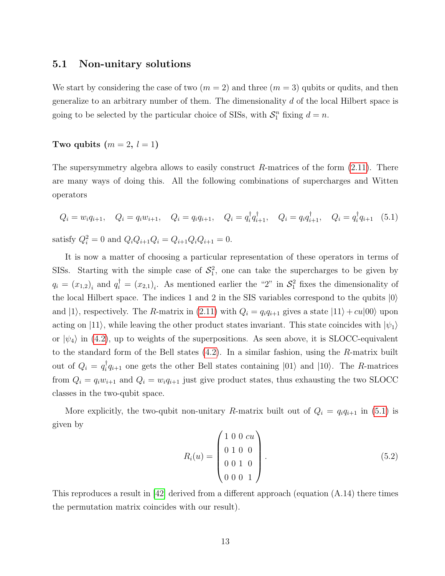### <span id="page-13-0"></span>5.1 Non-unitary solutions

We start by considering the case of two  $(m = 2)$  and three  $(m = 3)$  qubits or qudits, and then generalize to an arbitrary number of them. The dimensionality d of the local Hilbert space is going to be selected by the particular choice of SISs, with  $S_1^n$  fixing  $d = n$ .

#### Two qubits  $(m = 2, l = 1)$

The supersymmetry algebra allows to easily construct  $R$ -matrices of the form  $(2.11)$ . There are many ways of doing this. All the following combinations of supercharges and Witten operators

<span id="page-13-1"></span>
$$
Q_i = w_i q_{i+1}, \quad Q_i = q_i w_{i+1}, \quad Q_i = q_i q_{i+1}, \quad Q_i = q_i^{\dagger} q_{i+1}^{\dagger}, \quad Q_i = q_i q_{i+1}^{\dagger}, \quad Q_i = q_i^{\dagger} q_{i+1} \quad (5.1)
$$
  
satisfy  $Q_i^2 = 0$  and  $Q_i Q_{i+1} Q_i = Q_{i+1} Q_i Q_{i+1} = 0$ .

It is now a matter of choosing a particular representation of these operators in terms of SISs. Starting with the simple case of  $S_1^2$ , one can take the supercharges to be given by  $q_i = (x_{1,2})_i$  and  $q_i^{\dagger} = (x_{2,1})_i$ . As mentioned earlier the "2" in  $S_1^2$  fixes the dimensionality of the local Hilbert space. The indices 1 and 2 in the SIS variables correspond to the qubits  $|0\rangle$ and  $|1\rangle$ , respectively. The R-matrix in [\(2.11\)](#page-5-3) with  $Q_i = q_i q_{i+1}$  gives a state  $|11\rangle + cu|00\rangle$  upon acting on |11\, while leaving the other product states invariant. This state coincides with  $|\psi_1\rangle$ or  $|\psi_4\rangle$  in [\(4.2\)](#page-10-1), up to weights of the superpositions. As seen above, it is SLOCC-equivalent to the standard form of the Bell states [\(4.2\)](#page-10-1). In a similar fashion, using the R-matrix built out of  $Q_i = q_i^{\dagger}$  $i_q^{\dagger} q_{i+1}$  one gets the other Bell states containing  $|01\rangle$  and  $|10\rangle$ . The R-matrices from  $Q_i = q_i w_{i+1}$  and  $Q_i = w_i q_{i+1}$  just give product states, thus exhausting the two SLOCC classes in the two-qubit space.

More explicitly, the two-qubit non-unitary R-matrix built out of  $Q_i = q_i q_{i+1}$  in [\(5.1\)](#page-13-1) is given by

$$
R_i(u) = \begin{pmatrix} 1 & 0 & 0 & cu \\ 0 & 1 & 0 & 0 \\ 0 & 0 & 1 & 0 \\ 0 & 0 & 0 & 1 \end{pmatrix} . \tag{5.2}
$$

This reproduces a result in [\[42\]](#page-35-4) derived from a different approach (equation (A.14) there times the permutation matrix coincides with our result).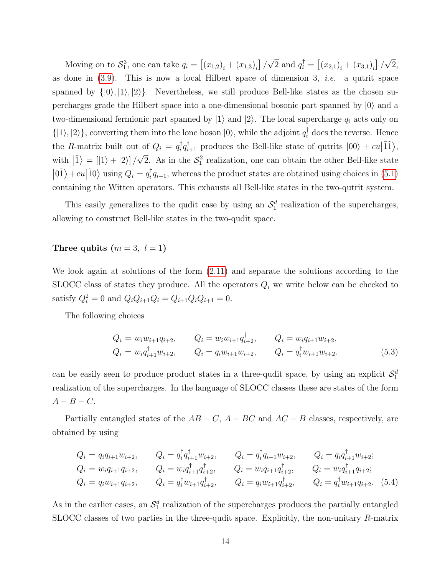Moving on to  $S_1^3$ , one can take  $q_i = \left[ (x_{1,2})_i + (x_{1,3})_i \right] /$ √  $\overline{2}$  and  $q_i^{\dagger} = [(x_{2,1})_i + (x_{3,1})_i]$  / √ 2, as done in  $(3.9)$ . This is now a local Hilbert space of dimension 3, *i.e.* a qutrit space spanned by  $\{|0\rangle, |1\rangle, |2\rangle\}$ . Nevertheless, we still produce Bell-like states as the chosen supercharges grade the Hilbert space into a one-dimensional bosonic part spanned by  $|0\rangle$  and a two-dimensional fermionic part spanned by  $|1\rangle$  and  $|2\rangle$ . The local supercharge  $q_i$  acts only on  $\{|1\rangle, |2\rangle\}$ , converting them into the lone boson  $|0\rangle$ , while the adjoint  $q_i^{\dagger}$  does the reverse. Hence the *R*-matrix built out of  $Q_i = q_i^{\dagger}$  ${}_{i}^{\dagger}q_{i+1}^{\dagger}$  produces the Bell-like state of qutrits  $|00\rangle + cu|\tilde{1}\tilde{1}\rangle$ , with  $|\tilde{1}\rangle = |1\rangle + |2\rangle]/$ √  $\overline{2}$ . As in the  $S_1^2$  realization, one can obtain the other Bell-like state  $|01\rangle + cu|10\rangle$  using  $Q_i = q_i^{\dagger}$  $\mathbf{z}_i^{\dagger} q_{i+1}$ , whereas the product states are obtained using choices in  $(5.1)$ containing the Witten operators. This exhausts all Bell-like states in the two-qutrit system.

This easily generalizes to the qudit case by using an  $\mathcal{S}_1^d$  realization of the supercharges, allowing to construct Bell-like states in the two-qudit space.

### Three qubits  $(m = 3, l = 1)$

We look again at solutions of the form [\(2.11\)](#page-5-3) and separate the solutions according to the SLOCC class of states they produce. All the operators  $Q_i$  we write below can be checked to satisfy  $Q_i^2 = 0$  and  $Q_i Q_{i+1} Q_i = Q_{i+1} Q_i Q_{i+1} = 0$ .

The following choices

$$
Q_i = w_i w_{i+1} q_{i+2}, \t Q_i = w_i w_{i+1} q_{i+2}^{\dagger}, \t Q_i = w_i q_{i+1} w_{i+2},
$$
  
\n
$$
Q_i = w_i q_{i+1}^{\dagger} w_{i+2}, \t Q_i = q_i w_{i+1} w_{i+2}, \t Q_i = q_i^{\dagger} w_{i+1} w_{i+2}.
$$
\n(5.3)

can be easily seen to produce product states in a three-qudit space, by using an explicit  $\mathcal{S}_1^d$ realization of the supercharges. In the language of SLOCC classes these are states of the form  $A - B - C.$ 

Partially entangled states of the  $AB - C$ ,  $A - BC$  and  $AC - B$  classes, respectively, are obtained by using

<span id="page-14-0"></span>
$$
Q_i = q_i q_{i+1} w_{i+2}, \t Q_i = q_i^{\dagger} q_{i+1}^{\dagger} w_{i+2}, \t Q_i = q_i^{\dagger} q_{i+1} w_{i+2}, \t Q_i = q_i q_{i+1}^{\dagger} w_{i+2};
$$
  
\n
$$
Q_i = w_i q_{i+1} q_{i+2}, \t Q_i = w_i q_{i+1}^{\dagger} q_{i+2}^{\dagger}, \t Q_i = w_i q_{i+1} q_{i+2}^{\dagger}, \t Q_i = w_i q_{i+1}^{\dagger} q_{i+2};
$$
  
\n
$$
Q_i = q_i w_{i+1} q_{i+2}, \t Q_i = q_i^{\dagger} w_{i+1} q_{i+2}^{\dagger}, \t Q_i = q_i w_{i+1} q_{i+2}^{\dagger}, \t Q_i = q_i^{\dagger} w_{i+1} q_{i+2}.
$$
 (5.4)

As in the earlier cases, an  $\mathcal{S}_1^d$  realization of the supercharges produces the partially entangled SLOCC classes of two parties in the three-qudit space. Explicitly, the non-unitary R-matrix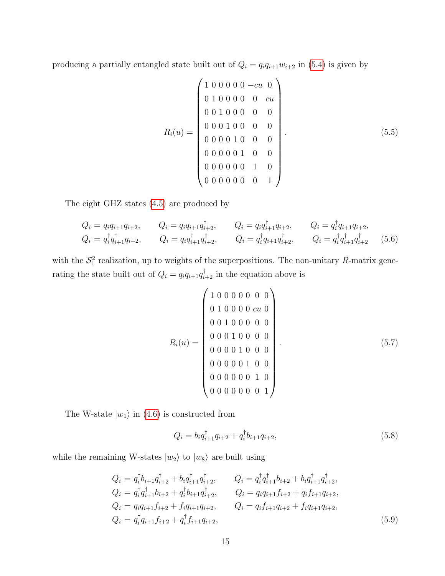producing a partially entangled state built out of  $Q_i = q_i q_{i+1} w_{i+2}$  in [\(5.4\)](#page-14-0) is given by

$$
R_i(u) = \begin{pmatrix} 1 & 0 & 0 & 0 & 0 & -cu & 0 \\ 0 & 1 & 0 & 0 & 0 & 0 & cu \\ 0 & 0 & 1 & 0 & 0 & 0 & 0 \\ 0 & 0 & 0 & 1 & 0 & 0 & 0 \\ 0 & 0 & 0 & 1 & 0 & 0 & 0 \\ 0 & 0 & 0 & 0 & 1 & 0 & 0 \\ 0 & 0 & 0 & 0 & 0 & 1 & 0 \\ 0 & 0 & 0 & 0 & 0 & 0 & 1 \end{pmatrix}.
$$
 (5.5)

The eight GHZ states [\(4.5\)](#page-11-1) are produced by

$$
Q_i = q_i q_{i+1} q_{i+2}, \t Q_i = q_i q_{i+1} q_{i+2}^{\dagger}, \t Q_i = q_i q_{i+1}^{\dagger} q_{i+2}, \t Q_i = q_i^{\dagger} q_{i+1} q_{i+2},
$$
  
\n
$$
Q_i = q_i^{\dagger} q_{i+1}^{\dagger} q_{i+2}, \t Q_i = q_i q_{i+1}^{\dagger} q_{i+2}^{\dagger}, \t Q_i = q_i^{\dagger} q_{i+1} q_{i+2}^{\dagger}, \t Q_i = q_i^{\dagger} q_{i+1}^{\dagger} q_{i+2}^{\dagger}
$$
(5.6)

with the  $S_1^2$  realization, up to weights of the superpositions. The non-unitary R-matrix generating the state built out of  $Q_i = q_i q_{i+1} q_{i+2}^{\dagger}$  in the equation above is

$$
R_i(u) = \begin{pmatrix} 1 & 0 & 0 & 0 & 0 & 0 & 0 & 0 \\ 0 & 1 & 0 & 0 & 0 & 0 & u & 0 \\ 0 & 0 & 1 & 0 & 0 & 0 & 0 & 0 \\ 0 & 0 & 0 & 1 & 0 & 0 & 0 & 0 \\ 0 & 0 & 0 & 0 & 1 & 0 & 0 & 0 \\ 0 & 0 & 0 & 0 & 0 & 1 & 0 & 0 \\ 0 & 0 & 0 & 0 & 0 & 0 & 1 & 0 \\ 0 & 0 & 0 & 0 & 0 & 0 & 0 & 1 \end{pmatrix}.
$$
 (5.7)

The W-state  $|w_1\rangle$  in [\(4.6\)](#page-11-0) is constructed from

<span id="page-15-0"></span>
$$
Q_i = b_i q_{i+1}^\dagger q_{i+2} + q_i^\dagger b_{i+1} q_{i+2},\tag{5.8}
$$

while the remaining W-states  $|w_2\rangle$  to  $|w_8\rangle$  are built using

$$
Q_{i} = q_{i}^{\dagger} b_{i+1} q_{i+2}^{\dagger} + b_{i} q_{i+1}^{\dagger} q_{i+2}^{\dagger},
$$
  
\n
$$
Q_{i} = q_{i}^{\dagger} q_{i+1}^{\dagger} b_{i+2} + q_{i}^{\dagger} b_{i+1} q_{i+2}^{\dagger},
$$
  
\n
$$
Q_{i} = q_{i} q_{i+1} f_{i+2} + q_{i}^{\dagger} b_{i+1} q_{i+2}^{\dagger},
$$
  
\n
$$
Q_{i} = q_{i} q_{i+1} f_{i+2} + f_{i} q_{i+1} q_{i+2},
$$
  
\n
$$
Q_{i} = q_{i} f_{i+1} f_{i+2} + f_{i} q_{i+1} q_{i+2},
$$
  
\n
$$
Q_{i} = q_{i} f_{i+1} q_{i+2} + f_{i} q_{i+1} q_{i+2},
$$
  
\n
$$
Q_{i} = q_{i} f_{i+1} q_{i+2} + f_{i} q_{i+1} q_{i+2},
$$
  
\n(5.9)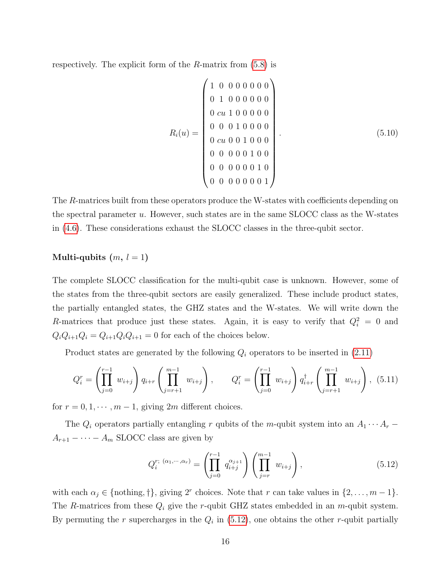respectively. The explicit form of the R-matrix from  $(5.8)$  is

$$
R_i(u) = \begin{pmatrix} 1 & 0 & 0 & 0 & 0 & 0 & 0 & 0 \\ 0 & 1 & 0 & 0 & 0 & 0 & 0 & 0 \\ 0 & cu & 1 & 0 & 0 & 0 & 0 & 0 \\ 0 & 0 & 0 & 1 & 0 & 0 & 0 & 0 \\ 0 & cu & 0 & 0 & 1 & 0 & 0 & 0 \\ 0 & 0 & 0 & 0 & 0 & 1 & 0 & 0 \\ 0 & 0 & 0 & 0 & 0 & 0 & 1 & 0 \\ 0 & 0 & 0 & 0 & 0 & 0 & 0 & 1 \end{pmatrix} . \tag{5.10}
$$

The R-matrices built from these operators produce the W-states with coefficients depending on the spectral parameter u. However, such states are in the same SLOCC class as the W-states in [\(4.6\)](#page-11-0). These considerations exhaust the SLOCC classes in the three-qubit sector.

#### Multi-qubits  $(m, l = 1)$

The complete SLOCC classification for the multi-qubit case is unknown. However, some of the states from the three-qubit sectors are easily generalized. These include product states, the partially entangled states, the GHZ states and the W-states. We will write down the R-matrices that produce just these states. Again, it is easy to verify that  $Q_i^2 = 0$  and  $Q_iQ_{i+1}Q_i = Q_{i+1}Q_iQ_{i+1} = 0$  for each of the choices below.

Product states are generated by the following  $Q_i$  operators to be inserted in  $(2.11)$ 

<span id="page-16-1"></span>
$$
Q_i^r = \left(\prod_{j=0}^{r-1} w_{i+j}\right) q_{i+r} \left(\prod_{j=r+1}^{m-1} w_{i+j}\right), \qquad Q_i^r = \left(\prod_{j=0}^{r-1} w_{i+j}\right) q_{i+r}^\dagger \left(\prod_{j=r+1}^{m-1} w_{i+j}\right), \tag{5.11}
$$

for  $r = 0, 1, \dots, m - 1$ , giving 2m different choices.

The  $Q_i$  operators partially entangling r qubits of the m-qubit system into an  $A_1 \cdots A_r$  –  $A_{r+1} - \cdots - A_m$  SLOCC class are given by

<span id="page-16-0"></span>
$$
Q_i^{r; (\alpha_1, \cdots, \alpha_r)} = \left(\prod_{j=0}^{r-1} q_{i+j}^{\alpha_{j+1}}\right) \left(\prod_{j=r}^{m-1} w_{i+j}\right), \qquad (5.12)
$$

with each  $\alpha_j \in \{\text{nothing, +}\}\$ , giving  $2^r$  choices. Note that r can take values in  $\{2, \ldots, m-1\}$ . The R-matrices from these  $Q_i$  give the r-qubit GHZ states embedded in an m-qubit system. By permuting the r supercharges in the  $Q_i$  in [\(5.12\)](#page-16-0), one obtains the other r-qubit partially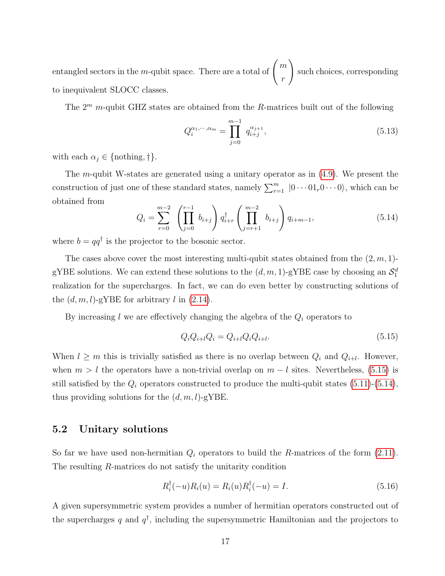entangled sectors in the m-qubit space. There are a total of  $\begin{pmatrix} m \end{pmatrix}$ r  $\setminus$ such choices, corresponding to inequivalent SLOCC classes.

The  $2^m$  m-qubit GHZ states are obtained from the R-matrices built out of the following

$$
Q_i^{\alpha_1,\cdots,\alpha_m} = \prod_{j=0}^{m-1} q_{i+j}^{\alpha_{j+1}},\tag{5.13}
$$

with each  $\alpha_j \in \{\text{nothing}, \dagger\}.$ 

The m-qubit W-states are generated using a unitary operator as in  $(4.9)$ . We present the construction of just one of these standard states, namely  $\sum_{r=1}^{m} |0 \cdots 01_r 0 \cdots 0\rangle$ , which can be obtained from

<span id="page-17-2"></span>
$$
Q_i = \sum_{r=0}^{m-2} \left( \prod_{j=0}^{r-1} b_{i+j} \right) q_{i+r}^{\dagger} \left( \prod_{j=r+1}^{m-2} b_{i+j} \right) q_{i+m-1}, \tag{5.14}
$$

where  $b = qq^{\dagger}$  is the projector to the bosonic sector.

The cases above cover the most interesting multi-qubit states obtained from the  $(2, m, 1)$ gYBE solutions. We can extend these solutions to the  $(d, m, 1)$ -gYBE case by choosing an  $\mathcal{S}_1^d$ realization for the supercharges. In fact, we can do even better by constructing solutions of the  $(d, m, l)$ -gYBE for arbitrary l in  $(2.14)$ .

By increasing  $l$  we are effectively changing the algebra of the  $Q_i$  operators to

<span id="page-17-1"></span>
$$
Q_i Q_{i+l} Q_i = Q_{i+l} Q_i Q_{i+l}.
$$
\n(5.15)

When  $l \geq m$  this is trivially satisfied as there is no overlap between  $Q_i$  and  $Q_{i+l}$ . However, when  $m > l$  the operators have a non-trivial overlap on  $m - l$  sites. Nevertheless, [\(5.15\)](#page-17-1) is still satisfied by the  $Q_i$  operators constructed to produce the multi-qubit states [\(5.11\)](#page-16-1)-[\(5.14\)](#page-17-2), thus providing solutions for the  $(d, m, l)$ -gYBE.

### <span id="page-17-0"></span>5.2 Unitary solutions

So far we have used non-hermitian  $Q_i$  operators to build the R-matrices of the form  $(2.11)$ . The resulting R-matrices do not satisfy the unitarity condition

$$
R_i^{\dagger}(-u)R_i(u) = R_i(u)R_i^{\dagger}(-u) = I.
$$
\n(5.16)

A given supersymmetric system provides a number of hermitian operators constructed out of the supercharges q and  $q^{\dagger}$ , including the supersymmetric Hamiltonian and the projectors to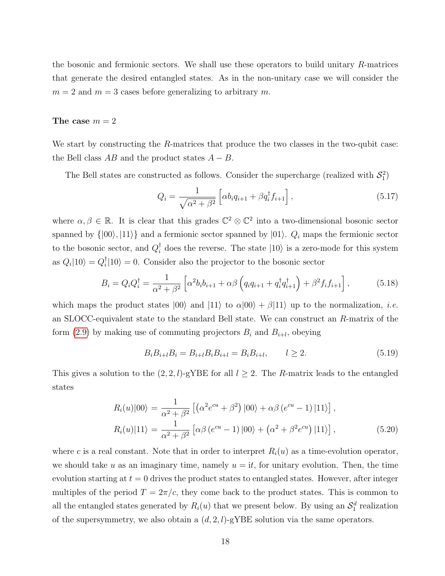the bosonic and fermionic sectors. We shall use these operators to build unitary R-matrices that generate the desired entangled states. As in the non-unitary case we will consider the  $m = 2$  and  $m = 3$  cases before generalizing to arbitrary m.

#### The case  $m = 2$

We start by constructing the R-matrices that produce the two classes in the two-qubit case: the Bell class  $AB$  and the product states  $A - B$ .

The Bell states are constructed as follows. Consider the supercharge (realized with  $S_1^2$ )

<span id="page-18-0"></span>
$$
Q_i = \frac{1}{\sqrt{\alpha^2 + \beta^2}} \left[ \alpha b_i q_{i+1} + \beta q_i^\dagger f_{i+1} \right],\tag{5.17}
$$

where  $\alpha, \beta \in \mathbb{R}$ . It is clear that this grades  $\mathbb{C}^2 \otimes \mathbb{C}^2$  into a two-dimensional bosonic sector spanned by  $\{|00\rangle, |11\rangle\}$  and a fermionic sector spanned by  $|01\rangle$ .  $Q_i$  maps the fermionic sector to the bosonic sector, and  $Q_i^{\dagger}$  does the reverse. The state  $|10\rangle$  is a zero-mode for this system as  $Q_i|10\rangle = Q_i^{\dagger}$  $\binom{1}{i}$  = 0. Consider also the projector to the bosonic sector

$$
B_i = Q_i Q_i^{\dagger} = \frac{1}{\alpha^2 + \beta^2} \left[ \alpha^2 b_i b_{i+1} + \alpha \beta \left( q_i q_{i+1} + q_i^{\dagger} q_{i+1}^{\dagger} \right) + \beta^2 f_i f_{i+1} \right],\tag{5.18}
$$

which maps the product states  $|00\rangle$  and  $|11\rangle$  to  $\alpha|00\rangle + \beta|11\rangle$  up to the normalization, *i.e.* an SLOCC-equivalent state to the standard Bell state. We can construct an R-matrix of the form  $(2.9)$  by making use of commuting projectors  $B_i$  and  $B_{i+l}$ , obeying

$$
B_i B_{i+l} B_i = B_{i+l} B_i B_{i+l} = B_i B_{i+l}, \qquad l \ge 2. \tag{5.19}
$$

This gives a solution to the  $(2, 2, l)$ -gYBE for all  $l \geq 2$ . The R-matrix leads to the entangled states

$$
R_i(u)|00\rangle = \frac{1}{\alpha^2 + \beta^2} \left[ \left( \alpha^2 e^{cu} + \beta^2 \right) |00\rangle + \alpha \beta (e^{cu} - 1) |11\rangle \right],
$$
  
\n
$$
R_i(u)|11\rangle = \frac{1}{\alpha^2 + \beta^2} \left[ \alpha \beta (e^{cu} - 1) |00\rangle + \left( \alpha^2 + \beta^2 e^{cu} \right) |11\rangle \right],
$$
\n(5.20)

where c is a real constant. Note that in order to interpret  $R_i(u)$  as a time-evolution operator, we should take u as an imaginary time, namely  $u = it$ , for unitary evolution. Then, the time evolution starting at  $t = 0$  drives the product states to entangled states. However, after integer multiples of the period  $T = 2\pi/c$ , they come back to the product states. This is common to all the entangled states generated by  $R_i(u)$  that we present below. By using an  $\mathcal{S}_1^d$  realization of the supersymmetry, we also obtain a  $(d, 2, l)$ -gYBE solution via the same operators.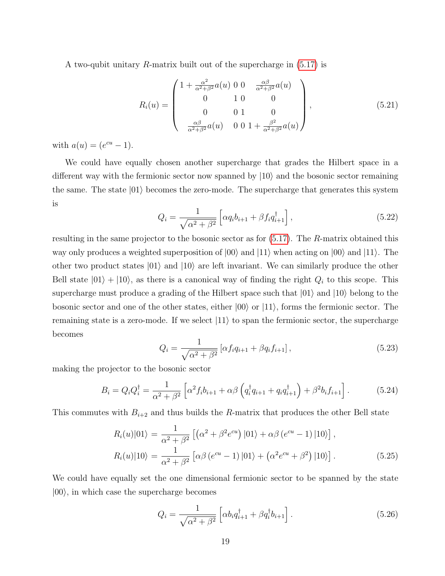A two-qubit unitary R-matrix built out of the supercharge in [\(5.17\)](#page-18-0) is

$$
R_i(u) = \begin{pmatrix} 1 + \frac{\alpha^2}{\alpha^2 + \beta^2} a(u) & 0 & 0 & \frac{\alpha \beta}{\alpha^2 + \beta^2} a(u) \\ 0 & 1 & 0 & 0 \\ 0 & 0 & 1 & 0 \\ \frac{\alpha \beta}{\alpha^2 + \beta^2} a(u) & 0 & 0 & 1 + \frac{\beta^2}{\alpha^2 + \beta^2} a(u) \end{pmatrix},
$$
(5.21)

with  $a(u) = (e^{cu} - 1)$ .

We could have equally chosen another supercharge that grades the Hilbert space in a different way with the fermionic sector now spanned by  $|10\rangle$  and the bosonic sector remaining the same. The state  $|01\rangle$  becomes the zero-mode. The supercharge that generates this system is

$$
Q_i = \frac{1}{\sqrt{\alpha^2 + \beta^2}} \left[ \alpha q_i b_{i+1} + \beta f_i q_{i+1}^\dagger \right],\tag{5.22}
$$

resulting in the same projector to the bosonic sector as for [\(5.17\)](#page-18-0). The R-matrix obtained this way only produces a weighted superposition of  $|00\rangle$  and  $|11\rangle$  when acting on  $|00\rangle$  and  $|11\rangle$ . The other two product states  $|01\rangle$  and  $|10\rangle$  are left invariant. We can similarly produce the other Bell state  $|01\rangle + |10\rangle$ , as there is a canonical way of finding the right  $Q_i$  to this scope. This supercharge must produce a grading of the Hilbert space such that  $|01\rangle$  and  $|10\rangle$  belong to the bosonic sector and one of the other states, either  $|00\rangle$  or  $|11\rangle$ , forms the fermionic sector. The remaining state is a zero-mode. If we select  $|11\rangle$  to span the fermionic sector, the supercharge becomes

<span id="page-19-0"></span>
$$
Q_i = \frac{1}{\sqrt{\alpha^2 + \beta^2}} \left[ \alpha f_i q_{i+1} + \beta q_i f_{i+1} \right],\tag{5.23}
$$

making the projector to the bosonic sector

$$
B_i = Q_i Q_i^{\dagger} = \frac{1}{\alpha^2 + \beta^2} \left[ \alpha^2 f_i b_{i+1} + \alpha \beta \left( q_i^{\dagger} q_{i+1} + q_i q_{i+1}^{\dagger} \right) + \beta^2 b_i f_{i+1} \right]. \tag{5.24}
$$

This commutes with  $B_{i+2}$  and thus builds the R-matrix that produces the other Bell state

$$
R_i(u)|01\rangle = \frac{1}{\alpha^2 + \beta^2} \left[ (\alpha^2 + \beta^2 e^{cu}) |01\rangle + \alpha \beta (e^{cu} - 1) |10\rangle \right],
$$
  
\n
$$
R_i(u)|10\rangle = \frac{1}{\alpha^2 + \beta^2} \left[ \alpha \beta (e^{cu} - 1) |01\rangle + (\alpha^2 e^{cu} + \beta^2) |10\rangle \right].
$$
 (5.25)

We could have equally set the one dimensional fermionic sector to be spanned by the state  $|00\rangle$ , in which case the supercharge becomes

$$
Q_i = \frac{1}{\sqrt{\alpha^2 + \beta^2}} \left[ \alpha b_i q_{i+1}^\dagger + \beta q_i^\dagger b_{i+1} \right]. \tag{5.26}
$$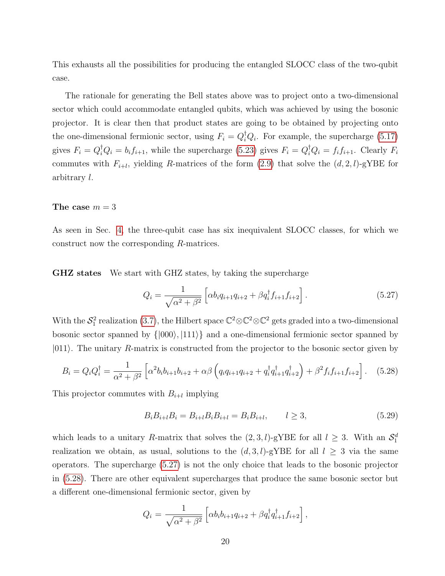This exhausts all the possibilities for producing the entangled SLOCC class of the two-qubit case.

The rationale for generating the Bell states above was to project onto a two-dimensional sector which could accommodate entangled qubits, which was achieved by using the bosonic projector. It is clear then that product states are going to be obtained by projecting onto the one-dimensional fermionic sector, using  $F_i = Q_i^{\dagger} Q_i$ . For example, the supercharge [\(5.17\)](#page-18-0) gives  $F_i = Q_i^{\dagger} Q_i = b_i f_{i+1}$ , while the supercharge [\(5.23\)](#page-19-0) gives  $F_i = Q_i^{\dagger} Q_i = f_i f_{i+1}$ . Clearly  $F_i$ commutes with  $F_{i+l}$ , yielding R-matrices of the form [\(2.9\)](#page-5-2) that solve the  $(d, 2, l)$ -gYBE for arbitrary l.

#### The case  $m = 3$

As seen in Sec. [4,](#page-10-0) the three-qubit case has six inequivalent SLOCC classes, for which we construct now the corresponding R-matrices.

GHZ states We start with GHZ states, by taking the supercharge

<span id="page-20-0"></span>
$$
Q_i = \frac{1}{\sqrt{\alpha^2 + \beta^2}} \left[ \alpha b_i q_{i+1} q_{i+2} + \beta q_i^{\dagger} f_{i+1} f_{i+2} \right]. \tag{5.27}
$$

With the  $S_1^2$  realization [\(3.7\)](#page-8-2), the Hilbert space  $\mathbb{C}^2 \otimes \mathbb{C}^2 \otimes \mathbb{C}^2$  gets graded into a two-dimensional bosonic sector spanned by  $\{ |000\rangle, |111\rangle \}$  and a one-dimensional fermionic sector spanned by  $|011\rangle$ . The unitary R-matrix is constructed from the projector to the bosonic sector given by

<span id="page-20-1"></span>
$$
B_i = Q_i Q_i^{\dagger} = \frac{1}{\alpha^2 + \beta^2} \left[ \alpha^2 b_i b_{i+1} b_{i+2} + \alpha \beta \left( q_i q_{i+1} q_{i+2} + q_i^{\dagger} q_{i+1}^{\dagger} q_{i+2}^{\dagger} \right) + \beta^2 f_i f_{i+1} f_{i+2} \right].
$$
 (5.28)

This projector commutes with  $B_{i+l}$  implying

$$
B_i B_{i+l} B_i = B_{i+l} B_i B_{i+l} = B_i B_{i+l}, \qquad l \ge 3,
$$
\n(5.29)

which leads to a unitary R-matrix that solves the  $(2,3,l)$ -gYBE for all  $l \geq 3$ . With an  $\mathcal{S}_1^d$ realization we obtain, as usual, solutions to the  $(d, 3, l)$ -gYBE for all  $l \geq 3$  via the same operators. The supercharge [\(5.27\)](#page-20-0) is not the only choice that leads to the bosonic projector in [\(5.28\)](#page-20-1). There are other equivalent supercharges that produce the same bosonic sector but a different one-dimensional fermionic sector, given by

$$
Q_i = \frac{1}{\sqrt{\alpha^2 + \beta^2}} \left[ \alpha b_i b_{i+1} q_{i+2} + \beta q_i^{\dagger} q_{i+1}^{\dagger} f_{i+2} \right],
$$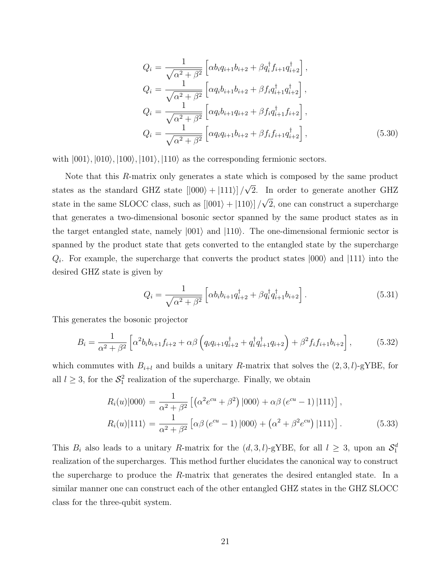$$
Q_{i} = \frac{1}{\sqrt{\alpha^{2} + \beta^{2}}} \left[ \alpha b_{i} q_{i+1} b_{i+2} + \beta q_{i}^{\dagger} f_{i+1} q_{i+2}^{\dagger} \right],
$$
  
\n
$$
Q_{i} = \frac{1}{\sqrt{\alpha^{2} + \beta^{2}}} \left[ \alpha q_{i} b_{i+1} b_{i+2} + \beta f_{i} q_{i+1}^{\dagger} q_{i+2}^{\dagger} \right],
$$
  
\n
$$
Q_{i} = \frac{1}{\sqrt{\alpha^{2} + \beta^{2}}} \left[ \alpha q_{i} b_{i+1} q_{i+2} + \beta f_{i} q_{i+1}^{\dagger} f_{i+2} \right],
$$
  
\n
$$
Q_{i} = \frac{1}{\sqrt{\alpha^{2} + \beta^{2}}} \left[ \alpha q_{i} q_{i+1} b_{i+2} + \beta f_{i} f_{i+1} q_{i+2}^{\dagger} \right],
$$
\n(5.30)

with  $|001\rangle, |010\rangle, |100\rangle, |101\rangle, |110\rangle$  as the corresponding fermionic sectors.

Note that this R-matrix only generates a state which is composed by the same product states as the standard GHZ state  $[|000\rangle + |111\rangle]/$ √ 2. In order to generate another GHZ state in the same SLOCC class, such as  $[|001\rangle + |110\rangle]/$ √ 2, one can construct a supercharge that generates a two-dimensional bosonic sector spanned by the same product states as in the target entangled state, namely  $|001\rangle$  and  $|110\rangle$ . The one-dimensional fermionic sector is spanned by the product state that gets converted to the entangled state by the supercharge  $Q_i$ . For example, the supercharge that converts the product states  $|000\rangle$  and  $|111\rangle$  into the desired GHZ state is given by

$$
Q_i = \frac{1}{\sqrt{\alpha^2 + \beta^2}} \left[ \alpha b_i b_{i+1} q_{i+2}^\dagger + \beta q_i^\dagger q_{i+1}^\dagger b_{i+2} \right]. \tag{5.31}
$$

This generates the bosonic projector

$$
B_i = \frac{1}{\alpha^2 + \beta^2} \left[ \alpha^2 b_i b_{i+1} f_{i+2} + \alpha \beta \left( q_i q_{i+1} q_{i+2}^\dagger + q_i^\dagger q_{i+1}^\dagger q_{i+2} \right) + \beta^2 f_i f_{i+1} b_{i+2} \right],\tag{5.32}
$$

which commutes with  $B_{i+l}$  and builds a unitary R-matrix that solves the  $(2, 3, l)$ -gYBE, for all  $l \geq 3$ , for the  $S_1^2$  realization of the supercharge. Finally, we obtain

$$
R_i(u)|000\rangle = \frac{1}{\alpha^2 + \beta^2} \left[ \left( \alpha^2 e^{cu} + \beta^2 \right) |000\rangle + \alpha \beta (e^{cu} - 1) |111\rangle \right],
$$
  
\n
$$
R_i(u)|111\rangle = \frac{1}{\alpha^2 + \beta^2} \left[ \alpha \beta (e^{cu} - 1) |000\rangle + \left( \alpha^2 + \beta^2 e^{cu} \right) |111\rangle \right].
$$
 (5.33)

This  $B_i$  also leads to a unitary R-matrix for the  $(d, 3, l)$ -gYBE, for all  $l \geq 3$ , upon an  $S_1^d$ realization of the supercharges. This method further elucidates the canonical way to construct the supercharge to produce the R-matrix that generates the desired entangled state. In a similar manner one can construct each of the other entangled GHZ states in the GHZ SLOCC class for the three-qubit system.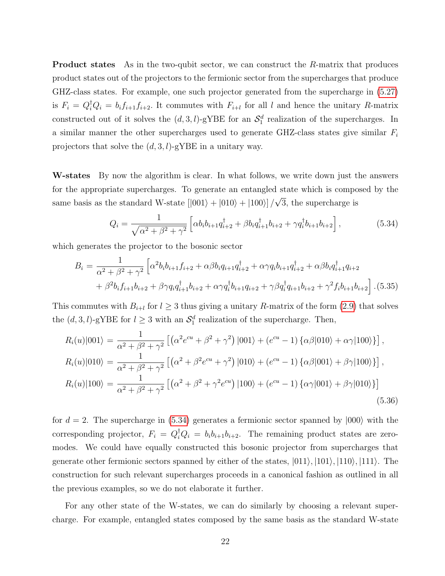**Product states** As in the two-qubit sector, we can construct the R-matrix that produces product states out of the projectors to the fermionic sector from the supercharges that produce GHZ-class states. For example, one such projector generated from the supercharge in [\(5.27\)](#page-20-0) is  $F_i = Q_i^{\dagger} Q_i = b_i f_{i+1} f_{i+2}$ . It commutes with  $F_{i+l}$  for all l and hence the unitary R-matrix constructed out of it solves the  $(d, 3, l)$ -gYBE for an  $\mathcal{S}_1^d$  realization of the supercharges. In a similar manner the other supercharges used to generate GHZ-class states give similar  $F_i$ projectors that solve the  $(d, 3, l)$ -gYBE in a unitary way.

W-states By now the algorithm is clear. In what follows, we write down just the answers for the appropriate supercharges. To generate an entangled state which is composed by the same basis as the standard W-state  $[|001\rangle + |010\rangle + |100\rangle] /$ √ 3, the supercharge is

<span id="page-22-0"></span>
$$
Q_i = \frac{1}{\sqrt{\alpha^2 + \beta^2 + \gamma^2}} \left[ \alpha b_i b_{i+1} q_{i+2}^\dagger + \beta b_i q_{i+1}^\dagger b_{i+2} + \gamma q_i^\dagger b_{i+1} b_{i+2} \right],\tag{5.34}
$$

which generates the projector to the bosonic sector

$$
B_{i} = \frac{1}{\alpha^{2} + \beta^{2} + \gamma^{2}} \left[ \alpha^{2} b_{i} b_{i+1} f_{i+2} + \alpha \beta b_{i} q_{i+1} q_{i+2}^{\dagger} + \alpha \gamma q_{i} b_{i+1} q_{i+2}^{\dagger} + \alpha \beta b_{i} q_{i+1}^{\dagger} q_{i+2} + \beta^{2} b_{i} f_{i+1} b_{i+2} + \beta \gamma q_{i} q_{i+1}^{\dagger} b_{i+2} + \alpha \gamma q_{i}^{\dagger} b_{i+1} q_{i+2} + \gamma \beta q_{i}^{\dagger} q_{i+1} b_{i+2} + \gamma^{2} f_{i} b_{i+1} b_{i+2} \right]. (5.35)
$$

This commutes with  $B_{i+l}$  for  $l \geq 3$  thus giving a unitary R-matrix of the form [\(2.9\)](#page-5-2) that solves the  $(d, 3, l)$ -gYBE for  $l \geq 3$  with an  $\mathcal{S}_1^d$  realization of the supercharge. Then,

$$
R_i(u)|001\rangle = \frac{1}{\alpha^2 + \beta^2 + \gamma^2} \left[ \left( \alpha^2 e^{cu} + \beta^2 + \gamma^2 \right) |001\rangle + \left( e^{cu} - 1 \right) \left\{ \alpha \beta |010\rangle + \alpha \gamma |100\rangle \right\} \right],
$$
  
\n
$$
R_i(u)|010\rangle = \frac{1}{\alpha^2 + \beta^2 + \gamma^2} \left[ \left( \alpha^2 + \beta^2 e^{cu} + \gamma^2 \right) |010\rangle + \left( e^{cu} - 1 \right) \left\{ \alpha \beta |001\rangle + \beta \gamma |100\rangle \right\} \right],
$$
  
\n
$$
R_i(u)|100\rangle = \frac{1}{\alpha^2 + \beta^2 + \gamma^2} \left[ \left( \alpha^2 + \beta^2 + \gamma^2 e^{cu} \right) |100\rangle + \left( e^{cu} - 1 \right) \left\{ \alpha \gamma |001\rangle + \beta \gamma |010\rangle \right\} \right]
$$
  
\n(5.36)

for  $d = 2$ . The supercharge in [\(5.34\)](#page-22-0) generates a fermionic sector spanned by  $|000\rangle$  with the corresponding projector,  $F_i = Q_i^{\dagger} Q_i = b_i b_{i+1} b_{i+2}$ . The remaining product states are zeromodes. We could have equally constructed this bosonic projector from supercharges that generate other fermionic sectors spanned by either of the states,  $|011\rangle, |101\rangle, |110\rangle, |111\rangle$ . The construction for such relevant supercharges proceeds in a canonical fashion as outlined in all the previous examples, so we do not elaborate it further.

For any other state of the W-states, we can do similarly by choosing a relevant supercharge. For example, entangled states composed by the same basis as the standard W-state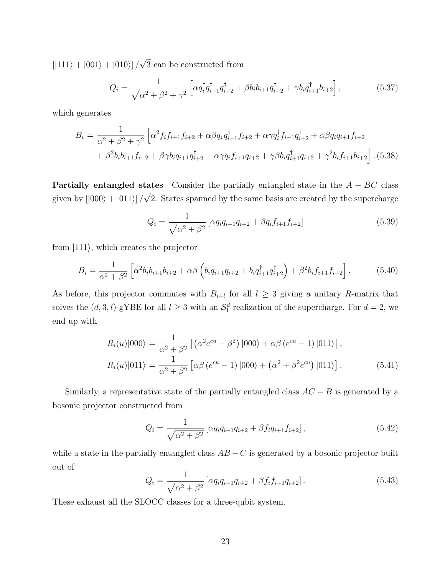$[|111\rangle + |001\rangle + |010\rangle]/$ √ 3 can be constructed from

$$
Q_i = \frac{1}{\sqrt{\alpha^2 + \beta^2 + \gamma^2}} \left[ \alpha q_i^{\dagger} q_{i+1}^{\dagger} q_{i+2}^{\dagger} + \beta b_i b_{i+1} q_{i+2}^{\dagger} + \gamma b_i q_{i+1}^{\dagger} b_{i+2} \right],
$$
 (5.37)

which generates

$$
B_{i} = \frac{1}{\alpha^{2} + \beta^{2} + \gamma^{2}} \left[ \alpha^{2} f_{i} f_{i+1} f_{i+2} + \alpha \beta q_{i}^{\dagger} q_{i+1}^{\dagger} f_{i+2} + \alpha \gamma q_{i}^{\dagger} f_{i+1} q_{i+2}^{\dagger} + \alpha \beta q_{i} q_{i+1} f_{i+2} + \beta^{2} b_{i} b_{i+1} f_{i+2} + \beta \gamma b_{i} q_{i+1} q_{i+2}^{\dagger} + \alpha \gamma q_{i} f_{i+1} q_{i+2} + \gamma \beta b_{i} q_{i+1}^{\dagger} q_{i+2} + \gamma^{2} b_{i} f_{i+1} b_{i+2} \right].
$$
 (5.38)

**Partially entangled states** Consider the partially entangled state in the  $A - BC$  class given by  $\vert 000\rangle + 011\rangle$ ] / √ 2. States spanned by the same basis are created by the supercharge

$$
Q_i = \frac{1}{\sqrt{\alpha^2 + \beta^2}} \left[ \alpha q_i q_{i+1} q_{i+2} + \beta q_i f_{i+1} f_{i+2} \right]
$$
(5.39)

from  $|111\rangle$ , which creates the projector

$$
B_{i} = \frac{1}{\alpha^{2} + \beta^{2}} \left[ \alpha^{2} b_{i} b_{i+1} b_{i+2} + \alpha \beta \left( b_{i} q_{i+1} q_{i+2} + b_{i} q_{i+1}^{\dagger} q_{i+2}^{\dagger} \right) + \beta^{2} b_{i} f_{i+1} f_{i+2} \right].
$$
 (5.40)

As before, this projector commutes with  $B_{i+l}$  for all  $l \geq 3$  giving a unitary R-matrix that solves the  $(d, 3, l)$ -gYBE for all  $l \geq 3$  with an  $\mathcal{S}_1^d$  realization of the supercharge. For  $d = 2$ , we end up with

$$
R_i(u)|000\rangle = \frac{1}{\alpha^2 + \beta^2} \left[ \left( \alpha^2 e^{cu} + \beta^2 \right) |000\rangle + \alpha \beta (e^{cu} - 1) |011\rangle \right],
$$
  
\n
$$
R_i(u)|011\rangle = \frac{1}{\alpha^2 + \beta^2} \left[ \alpha \beta (e^{cu} - 1) |000\rangle + \left( \alpha^2 + \beta^2 e^{cu} \right) |011\rangle \right].
$$
 (5.41)

Similarly, a representative state of the partially entangled class  $AC - B$  is generated by a bosonic projector constructed from

$$
Q_i = \frac{1}{\sqrt{\alpha^2 + \beta^2}} \left[ \alpha q_i q_{i+1} q_{i+2} + \beta f_i q_{i+1} f_{i+2} \right],\tag{5.42}
$$

while a state in the partially entangled class  $AB - C$  is generated by a bosonic projector built out of

$$
Q_i = \frac{1}{\sqrt{\alpha^2 + \beta^2}} \left[ \alpha q_i q_{i+1} q_{i+2} + \beta f_i f_{i+1} q_{i+2} \right]. \tag{5.43}
$$

These exhaust all the SLOCC classes for a three-qubit system.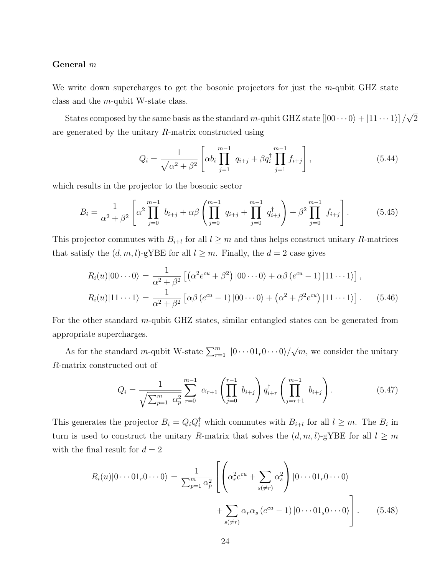#### General m

We write down supercharges to get the bosonic projectors for just the m-qubit GHZ state class and the m-qubit W-state class.

States composed by the same basis as the standard m-qubit GHZ state  $[|00\cdots0\rangle + |11\cdots1\rangle] /$ √ 2 are generated by the unitary R-matrix constructed using

$$
Q_i = \frac{1}{\sqrt{\alpha^2 + \beta^2}} \left[ \alpha b_i \prod_{j=1}^{m-1} q_{i+j} + \beta q_i^{\dagger} \prod_{j=1}^{m-1} f_{i+j} \right],
$$
 (5.44)

which results in the projector to the bosonic sector

$$
B_i = \frac{1}{\alpha^2 + \beta^2} \left[ \alpha^2 \prod_{j=0}^{m-1} b_{i+j} + \alpha \beta \left( \prod_{j=0}^{m-1} q_{i+j} + \prod_{j=0}^{m-1} q_{i+j}^{\dagger} \right) + \beta^2 \prod_{j=0}^{m-1} f_{i+j} \right].
$$
 (5.45)

This projector commutes with  $B_{i+l}$  for all  $l \geq m$  and thus helps construct unitary R-matrices that satisfy the  $(d, m, l)$ -gYBE for all  $l \geq m$ . Finally, the  $d = 2$  case gives

$$
R_i(u)|00\cdots 0\rangle = \frac{1}{\alpha^2 + \beta^2} \left[ \left( \alpha^2 e^{cu} + \beta^2 \right) |00\cdots 0\rangle + \alpha\beta (e^{cu} - 1) |11\cdots 1\rangle \right],
$$
  
\n
$$
R_i(u)|11\cdots 1\rangle = \frac{1}{\alpha^2 + \beta^2} \left[ \alpha\beta (e^{cu} - 1) |00\cdots 0\rangle + \left( \alpha^2 + \beta^2 e^{cu} \right) |11\cdots 1\rangle \right].
$$
 (5.46)

For the other standard m-qubit GHZ states, similar entangled states can be generated from appropriate supercharges.

As for the standard m-qubit W-state  $\sum_{r=1}^{m} |0 \cdots 01_r 0 \cdots 0\rangle$ / √  $\overline{m}$ , we consider the unitary R-matrix constructed out of

$$
Q_i = \frac{1}{\sqrt{\sum_{p=1}^m \alpha_p^2}} \sum_{r=0}^{m-1} \alpha_{r+1} \left( \prod_{j=0}^{r-1} b_{i+j} \right) q_{i+r}^{\dagger} \left( \prod_{j=r+1}^{m-1} b_{i+j} \right).
$$
 (5.47)

This generates the projector  $B_i = Q_i Q_i^{\dagger}$  which commutes with  $B_{i+l}$  for all  $l \geq m$ . The  $B_i$  in turn is used to construct the unitary R-matrix that solves the  $(d, m, l)$ -gYBE for all  $l \geq m$ with the final result for  $d = 2$ 

$$
R_i(u)|0\cdots 01_r 0\cdots 0\rangle = \frac{1}{\sum_{p=1}^m \alpha_p^2} \left[ \left( \alpha_r^2 e^{cu} + \sum_{s(\neq r)} \alpha_s^2 \right) |0\cdots 01_r 0\cdots 0\rangle + \sum_{s(\neq r)} \alpha_r \alpha_s (e^{cu} - 1) |0\cdots 01_s 0\cdots 0\rangle \right].
$$
 (5.48)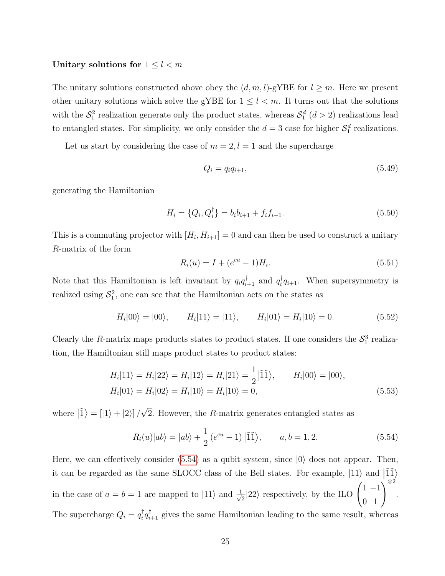#### Unitary solutions for  $1 \leq l < m$

The unitary solutions constructed above obey the  $(d, m, l)$ -gYBE for  $l \geq m$ . Here we present other unitary solutions which solve the gYBE for  $1 \leq l < m$ . It turns out that the solutions with the  $S_1^2$  realization generate only the product states, whereas  $S_1^d$   $(d > 2)$  realizations lead to entangled states. For simplicity, we only consider the  $d=3$  case for higher  $\mathcal{S}_1^d$  realizations.

Let us start by considering the case of  $m = 2, l = 1$  and the supercharge

$$
Q_i = q_i q_{i+1},\tag{5.49}
$$

generating the Hamiltonian

$$
H_i = \{Q_i, Q_i^{\dagger}\} = b_i b_{i+1} + f_i f_{i+1}.
$$
\n(5.50)

This is a commuting projector with  $[H_i, H_{i+1}] = 0$  and can then be used to construct a unitary R-matrix of the form

<span id="page-25-1"></span>
$$
R_i(u) = I + (e^{cu} - 1)H_i.
$$
\n(5.51)

Note that this Hamiltonian is left invariant by  $q_i q_{i+1}^{\dagger}$  and  $q_i^{\dagger}$  $i \overline{q}_{i+1}$ . When supersymmetry is realized using  $S_1^2$ , one can see that the Hamiltonian acts on the states as

$$
H_i|00\rangle = |00\rangle, \qquad H_i|11\rangle = |11\rangle, \qquad H_i|01\rangle = H_i|10\rangle = 0. \tag{5.52}
$$

Clearly the R-matrix maps products states to product states. If one considers the  $S_1^3$  realization, the Hamiltonian still maps product states to product states:

$$
H_i|11\rangle = H_i|22\rangle = H_i|12\rangle = H_i|21\rangle = \frac{1}{2}|\tilde{1}\tilde{1}\rangle, \qquad H_i|00\rangle = |00\rangle,
$$
  

$$
H_i|01\rangle = H_i|02\rangle = H_i|10\rangle = H_i|10\rangle = 0,
$$
 (5.53)

where  $|\tilde{1}\rangle = [|1\rangle + |2\rangle]/$ √ 2. However, the R-matrix generates entangled states as

<span id="page-25-0"></span>
$$
R_i(u)|ab\rangle = |ab\rangle + \frac{1}{2}(e^{cu} - 1)|\tilde{1}\tilde{1}\rangle, \qquad a, b = 1, 2.
$$
 (5.54)

Here, we can effectively consider  $(5.54)$  as a qubit system, since  $|0\rangle$  does not appear. Then, it can be regarded as the same SLOCC class of the Bell states. For example,  $|11\rangle$  and  $|\tilde{11}\rangle$ in the case of  $a = b = 1$  are mapped to  $|11\rangle$  and  $\frac{1}{\sqrt{2}}$  $\frac{1}{2}|22\rangle$  respectively, by the ILO  $\begin{pmatrix} 1 & -1 \\ 0 & 1 \end{pmatrix}^{\otimes 2}$ . The supercharge  $Q_i = q_i^{\dagger}$  $\phi_i^{\dagger} q_{i+1}^{\dagger}$  gives the same Hamiltonian leading to the same result, whereas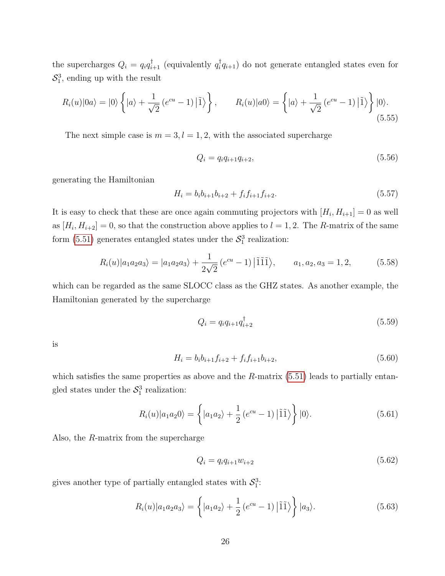the supercharges  $Q_i = q_i q_{i+1}^{\dagger}$  (equivalently  $q_i^{\dagger}$  $\prod_{i=1}^{\infty} q_{i+1}$  do not generate entangled states even for  $S_1^3$ , ending up with the result

$$
R_i(u)|0a\rangle = |0\rangle \left\{ |a\rangle + \frac{1}{\sqrt{2}} \left(e^{cu} - 1\right) |\tilde{1}\rangle \right\}, \qquad R_i(u)|a0\rangle = \left\{ |a\rangle + \frac{1}{\sqrt{2}} \left(e^{cu} - 1\right) |\tilde{1}\rangle \right\} |0\rangle.
$$
\n
$$
(5.55)
$$

The next simple case is  $m = 3, l = 1, 2$ , with the associated supercharge

$$
Q_i = q_i q_{i+1} q_{i+2}, \t\t(5.56)
$$

generating the Hamiltonian

$$
H_i = b_i b_{i+1} b_{i+2} + f_i f_{i+1} f_{i+2}.
$$
\n(5.57)

It is easy to check that these are once again commuting projectors with  $[H_i, H_{i+1}] = 0$  as well as  $[H_i, H_{i+2}] = 0$ , so that the construction above applies to  $l = 1, 2$ . The R-matrix of the same form  $(5.51)$  generates entangled states under the  $\mathcal{S}_1^3$  realization:

$$
R_i(u)|a_1a_2a_3\rangle = |a_1a_2a_3\rangle + \frac{1}{2\sqrt{2}}\left(e^{cu} - 1\right)|\tilde{1}\tilde{1}\tilde{1}\rangle, \qquad a_1, a_2, a_3 = 1, 2,\tag{5.58}
$$

which can be regarded as the same SLOCC class as the GHZ states. As another example, the Hamiltonian generated by the supercharge

$$
Q_i = q_i q_{i+1} q_{i+2}^{\dagger} \tag{5.59}
$$

is

$$
H_i = b_i b_{i+1} f_{i+2} + f_i f_{i+1} b_{i+2}, \tag{5.60}
$$

which satisfies the same properties as above and the  $R$ -matrix  $(5.51)$  leads to partially entangled states under the  $S_1^3$  realization:

$$
R_i(u)|a_1a_20\rangle = \left\{ |a_1a_2\rangle + \frac{1}{2} \left(e^{cu} - 1\right) |\tilde{1}\tilde{1}\rangle \right\}|0\rangle. \tag{5.61}
$$

Also, the R-matrix from the supercharge

$$
Q_i = q_i q_{i+1} w_{i+2} \tag{5.62}
$$

gives another type of partially entangled states with  $S_1^3$ :

$$
R_i(u)|a_1a_2a_3\rangle = \left\{ |a_1a_2\rangle + \frac{1}{2} (e^{cu} - 1) |\tilde{1}\tilde{1}\rangle \right\} |a_3\rangle.
$$
 (5.63)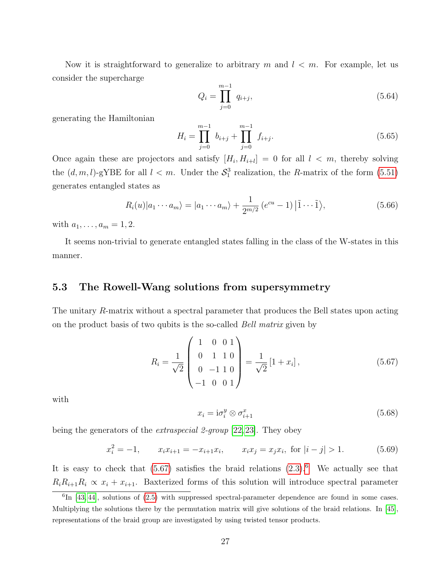Now it is straightforward to generalize to arbitrary m and  $l < m$ . For example, let us consider the supercharge

$$
Q_i = \prod_{j=0}^{m-1} q_{i+j},\tag{5.64}
$$

generating the Hamiltonian

$$
H_i = \prod_{j=0}^{m-1} b_{i+j} + \prod_{j=0}^{m-1} f_{i+j}.
$$
 (5.65)

Once again these are projectors and satisfy  $[H_i, H_{i+l}] = 0$  for all  $l < m$ , thereby solving the  $(d, m, l)$ -gYBE for all  $l < m$ . Under the  $S_1^3$  realization, the R-matrix of the form [\(5.51\)](#page-25-1) generates entangled states as

$$
R_i(u)|a_1\cdots a_m\rangle = |a_1\cdots a_m\rangle + \frac{1}{2^{m/2}}\left(e^{cu} - 1\right)|\tilde{1}\cdots\tilde{1}\rangle,
$$
\n(5.66)

with  $a_1, \ldots, a_m = 1, 2$ .

It seems non-trivial to generate entangled states falling in the class of the W-states in this manner.

### <span id="page-27-0"></span>5.3 The Rowell-Wang solutions from supersymmetry

The unitary R-matrix without a spectral parameter that produces the Bell states upon acting on the product basis of two qubits is the so-called Bell matrix given by

<span id="page-27-1"></span>
$$
R_i = \frac{1}{\sqrt{2}} \begin{pmatrix} 1 & 0 & 0 & 1 \\ 0 & 1 & 1 & 0 \\ 0 & -1 & 1 & 0 \\ -1 & 0 & 0 & 1 \end{pmatrix} = \frac{1}{\sqrt{2}} [1 + x_i], \qquad (5.67)
$$

with

<span id="page-27-3"></span>
$$
x_i = \mathrm{i}\sigma_i^y \otimes \sigma_{i+1}^x \tag{5.68}
$$

being the generators of the *extraspecial 2-group* [\[22,](#page-34-2) [23\]](#page-34-3). They obey

<span id="page-27-4"></span>
$$
x_i^2 = -1, \qquad x_i x_{i+1} = -x_{i+1} x_i, \qquad x_i x_j = x_j x_i, \text{ for } |i - j| > 1. \tag{5.69}
$$

It is easy to check that  $(5.67)$  satisfies the braid relations  $(2.3).<sup>6</sup>$  $(2.3).<sup>6</sup>$  $(2.3).<sup>6</sup>$  $(2.3).<sup>6</sup>$  We actually see that  $R_iR_{i+1}R_i \propto x_i + x_{i+1}$ . Baxterized forms of this solution will introduce spectral parameter

<span id="page-27-2"></span> ${}^{6}$ In [\[43,](#page-35-5) [44\]](#page-35-6), solutions of [\(2.5\)](#page-4-5) with suppressed spectral-parameter dependence are found in some cases. Multiplying the solutions there by the permutation matrix will give solutions of the braid relations. In [\[45\]](#page-35-7), representations of the braid group are investigated by using twisted tensor products.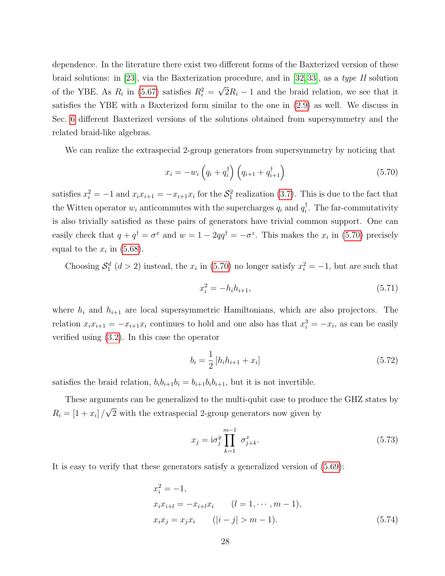dependence. In the literature there exist two different forms of the Baxterized version of these braid solutions: in [\[23\]](#page-34-3), via the Baxterization procedure, and in [\[32,](#page-34-12) [33\]](#page-34-17), as a type II solution of the YBE. As  $R_i$  in [\(5.67\)](#page-27-1) satisfies  $R_i^2 =$ √  $2R_i - 1$  and the braid relation, we see that it satisfies the YBE with a Baxterized form similar to the one in [\(2.9\)](#page-5-2) as well. We discuss in Sec. [6](#page-30-0) different Baxterized versions of the solutions obtained from supersymmetry and the related braid-like algebras.

We can realize the extraspecial 2-group generators from supersymmetry by noticing that

<span id="page-28-0"></span>
$$
x_i = -w_i \left( q_i + q_i^{\dagger} \right) \left( q_{i+1} + q_{i+1}^{\dagger} \right) \tag{5.70}
$$

satisfies  $x_i^2 = -1$  and  $x_i x_{i+1} = -x_{i+1} x_i$  for the  $S_1^2$  realization [\(3.7\)](#page-8-2). This is due to the fact that the Witten operator  $w_i$  anticommutes with the supercharges  $q_i$  and  $q_i^{\dagger}$  $\overline{i}$ . The far-commutativity is also trivially satisfied as these pairs of generators have trivial common support. One can easily check that  $q + q^{\dagger} = \sigma^x$  and  $w = 1 - 2qq^{\dagger} = -\sigma^z$ . This makes the  $x_i$  in [\(5.70\)](#page-28-0) precisely equal to the  $x_i$  in [\(5.68\)](#page-27-3).

Choosing  $S_1^d$  ( $d > 2$ ) instead, the  $x_i$  in [\(5.70\)](#page-28-0) no longer satisfy  $x_i^2 = -1$ , but are such that

$$
x_i^2 = -h_i h_{i+1}, \t\t(5.71)
$$

where  $h_i$  and  $h_{i+1}$  are local supersymmetric Hamiltonians, which are also projectors. The relation  $x_i x_{i+1} = -x_{i+1} x_i$  continues to hold and one also has that  $x_i^3 = -x_i$ , as can be easily verified using [\(3.2\)](#page-7-1). In this case the operator

$$
b_i = \frac{1}{2} \left[ h_i h_{i+1} + x_i \right] \tag{5.72}
$$

satisfies the braid relation,  $b_i b_{i+1} b_i = b_{i+1} b_i b_{i+1}$ , but it is not invertible.

These arguments can be generalized to the multi-qubit case to produce the GHZ states by  $R_i = [1 + x_i] /$ √ 2 with the extraspecial 2-group generators now given by

<span id="page-28-1"></span>
$$
x_j = \mathrm{i}\sigma_j^y \prod_{k=1}^{m-1} \sigma_{j+k}^x. \tag{5.73}
$$

It is easy to verify that these generators satisfy a generalized version of [\(5.69\)](#page-27-4):

$$
x_i^2 = -1,
$$
  
\n
$$
x_i x_{i+l} = -x_{i+l} x_i \qquad (l = 1, \cdots, m-1),
$$
  
\n
$$
x_i x_j = x_j x_i \qquad (|i - j| > m - 1).
$$
\n(5.74)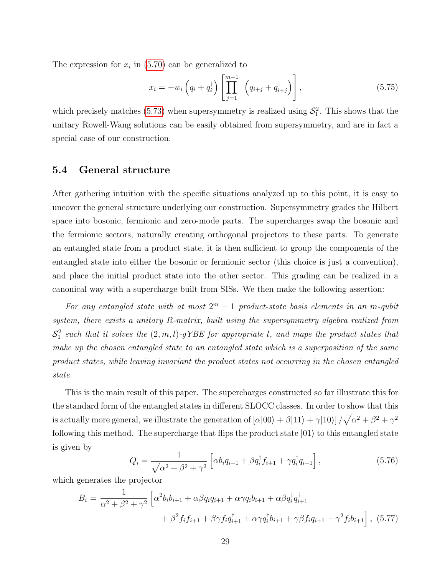The expression for  $x_i$  in [\(5.70\)](#page-28-0) can be generalized to

$$
x_{i} = -w_{i} \left( q_{i} + q_{i}^{\dagger} \right) \left[ \prod_{j=1}^{m-1} \left( q_{i+j} + q_{i+j}^{\dagger} \right) \right], \tag{5.75}
$$

which precisely matches [\(5.73\)](#page-28-1) when supersymmetry is realized using  $S_1^2$ . This shows that the unitary Rowell-Wang solutions can be easily obtained from supersymmetry, and are in fact a special case of our construction.

### <span id="page-29-0"></span>5.4 General structure

After gathering intuition with the specific situations analyzed up to this point, it is easy to uncover the general structure underlying our construction. Supersymmetry grades the Hilbert space into bosonic, fermionic and zero-mode parts. The supercharges swap the bosonic and the fermionic sectors, naturally creating orthogonal projectors to these parts. To generate an entangled state from a product state, it is then sufficient to group the components of the entangled state into either the bosonic or fermionic sector (this choice is just a convention), and place the initial product state into the other sector. This grading can be realized in a canonical way with a supercharge built from SISs. We then make the following assertion:

For any entangled state with at most  $2^m - 1$  product-state basis elements in an m-qubit system, there exists a unitary R-matrix, built using the supersymmetry algebra realized from  $S_1^2$  such that it solves the  $(2, m, l)$ -gYBE for appropriate l, and maps the product states that make up the chosen entangled state to an entangled state which is a superposition of the same product states, while leaving invariant the product states not occurring in the chosen entangled state.

This is the main result of this paper. The supercharges constructed so far illustrate this for the standard form of the entangled states in different SLOCC classes. In order to show that this is actually more general, we illustrate the generation of  $[\alpha|00\rangle + \beta|11\rangle + \gamma|10\rangle]/\sqrt{\alpha^2 + \beta^2 + \gamma^2}$ following this method. The supercharge that flips the product state  $|01\rangle$  to this entangled state is given by

$$
Q_i = \frac{1}{\sqrt{\alpha^2 + \beta^2 + \gamma^2}} \left[ \alpha b_i q_{i+1} + \beta q_i^{\dagger} f_{i+1} + \gamma q_i^{\dagger} q_{i+1} \right],
$$
\n(5.76)

which generates the projector

$$
B_{i} = \frac{1}{\alpha^{2} + \beta^{2} + \gamma^{2}} \left[ \alpha^{2} b_{i} b_{i+1} + \alpha \beta q_{i} q_{i+1} + \alpha \gamma q_{i} b_{i+1} + \alpha \beta q_{i}^{\dagger} q_{i+1}^{\dagger} + \beta^{2} f_{i} f_{i+1} + \beta \gamma f_{i} q_{i+1}^{\dagger} + \alpha \gamma q_{i}^{\dagger} b_{i+1} + \gamma \beta f_{i} q_{i+1} + \gamma^{2} f_{i} b_{i+1} \right], (5.77)
$$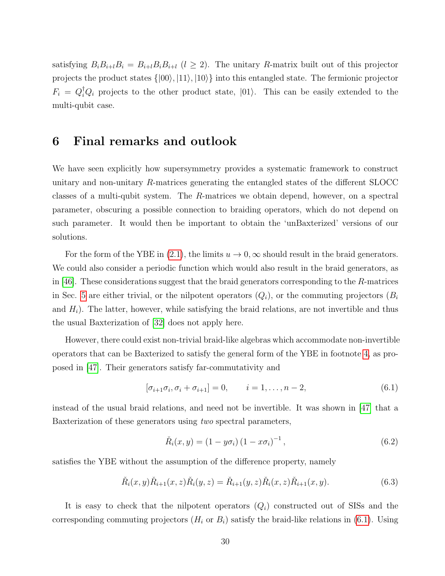satisfying  $B_iB_{i+l}B_i = B_{i+l}B_iB_{i+l}$   $(l \geq 2)$ . The unitary R-matrix built out of this projector projects the product states  $\{|00\rangle, |11\rangle, |10\rangle\}$  into this entangled state. The fermionic projector  $F_i = Q_i^{\dagger} Q_i$  projects to the other product state,  $|01\rangle$ . This can be easily extended to the multi-qubit case.

## <span id="page-30-0"></span>6 Final remarks and outlook

We have seen explicitly how supersymmetry provides a systematic framework to construct unitary and non-unitary R-matrices generating the entangled states of the different SLOCC classes of a multi-qubit system. The R-matrices we obtain depend, however, on a spectral parameter, obscuring a possible connection to braiding operators, which do not depend on such parameter. It would then be important to obtain the 'unBaxterized' versions of our solutions.

For the form of the YBE in [\(2.1\)](#page-4-1), the limits  $u \to 0$ ,  $\infty$  should result in the braid generators. We could also consider a periodic function which would also result in the braid generators, as in [\[46\]](#page-35-8). These considerations suggest that the braid generators corresponding to the R-matrices in Sec. [5](#page-12-0) are either trivial, or the nilpotent operators  $(Q_i)$ , or the commuting projectors  $(B_i)$ and  $H_i$ ). The latter, however, while satisfying the braid relations, are not invertible and thus the usual Baxterization of [\[32\]](#page-34-12) does not apply here.

However, there could exist non-trivial braid-like algebras which accommodate non-invertible operators that can be Baxterized to satisfy the general form of the YBE in footnote [4,](#page-4-2) as proposed in [\[47\]](#page-35-9). Their generators satisfy far-commutativity and

<span id="page-30-1"></span>
$$
[\sigma_{i+1}\sigma_i, \sigma_i + \sigma_{i+1}] = 0, \qquad i = 1, \dots, n-2,
$$
\n(6.1)

instead of the usual braid relations, and need not be invertible. It was shown in [\[47\]](#page-35-9) that a Baxterization of these generators using two spectral parameters,

$$
\tilde{R}_i(x, y) = (1 - y\sigma_i) (1 - x\sigma_i)^{-1}, \qquad (6.2)
$$

satisfies the YBE without the assumption of the difference property, namely

<span id="page-30-2"></span>
$$
\check{R}_i(x, y)\check{R}_{i+1}(x, z)\check{R}_i(y, z) = \check{R}_{i+1}(y, z)\check{R}_i(x, z)\check{R}_{i+1}(x, y).
$$
\n(6.3)

It is easy to check that the nilpotent operators  $(Q_i)$  constructed out of SISs and the corresponding commuting projectors  $(H_i \text{ or } B_i)$  satisfy the braid-like relations in [\(6.1\)](#page-30-1). Using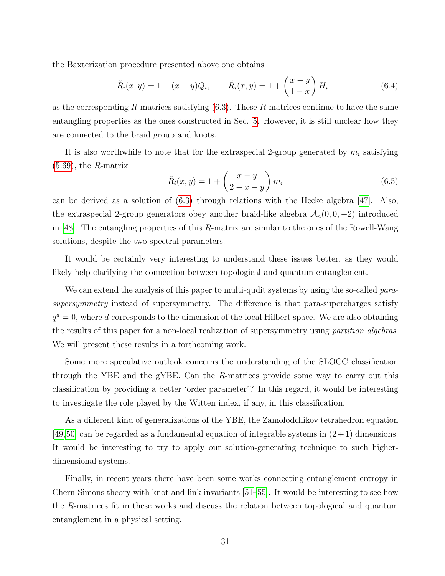the Baxterization procedure presented above one obtains

$$
\check{R}_i(x, y) = 1 + (x - y)Q_i, \qquad \check{R}_i(x, y) = 1 + \left(\frac{x - y}{1 - x}\right)H_i
$$
\n(6.4)

as the corresponding R-matrices satisfying  $(6.3)$ . These R-matrices continue to have the same entangling properties as the ones constructed in Sec. [5.](#page-12-0) However, it is still unclear how they are connected to the braid group and knots.

It is also worthwhile to note that for the extraspecial 2-group generated by  $m_i$  satisfying  $(5.69)$ , the R-matrix

$$
\tilde{R}_i(x,y) = 1 + \left(\frac{x-y}{2-x-y}\right) m_i \tag{6.5}
$$

can be derived as a solution of  $(6.3)$  through relations with the Hecke algebra  $|47|$ . Also, the extraspecial 2-group generators obey another braid-like algebra  $A_n(0,0,-2)$  introduced in  $[48]$ . The entangling properties of this R-matrix are similar to the ones of the Rowell-Wang solutions, despite the two spectral parameters.

It would be certainly very interesting to understand these issues better, as they would likely help clarifying the connection between topological and quantum entanglement.

We can extend the analysis of this paper to multi-qudit systems by using the so-called parasupersymmetry instead of supersymmetry. The difference is that para-supercharges satisfy  $q^d = 0$ , where d corresponds to the dimension of the local Hilbert space. We are also obtaining the results of this paper for a non-local realization of supersymmetry using partition algebras. We will present these results in a forthcoming work.

Some more speculative outlook concerns the understanding of the SLOCC classification through the YBE and the gYBE. Can the R-matrices provide some way to carry out this classification by providing a better 'order parameter'? In this regard, it would be interesting to investigate the role played by the Witten index, if any, in this classification.

As a different kind of generalizations of the YBE, the Zamolodchikov tetrahedron equation [\[49,](#page-35-11)[50\]](#page-35-12) can be regarded as a fundamental equation of integrable systems in  $(2+1)$  dimensions. It would be interesting to try to apply our solution-generating technique to such higherdimensional systems.

Finally, in recent years there have been some works connecting entanglement entropy in Chern-Simons theory with knot and link invariants [\[51](#page-35-13)[–55\]](#page-35-14). It would be interesting to see how the R-matrices fit in these works and discuss the relation between topological and quantum entanglement in a physical setting.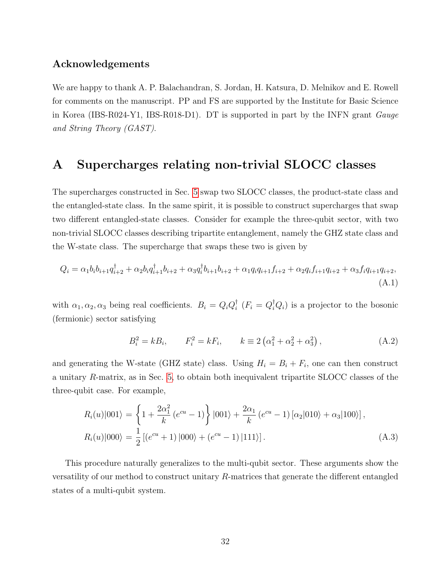### Acknowledgements

We are happy to thank A. P. Balachandran, S. Jordan, H. Katsura, D. Melnikov and E. Rowell for comments on the manuscript. PP and FS are supported by the Institute for Basic Science in Korea (IBS-R024-Y1, IBS-R018-D1). DT is supported in part by the INFN grant Gauge and String Theory (GAST).

## <span id="page-32-0"></span>A Supercharges relating non-trivial SLOCC classes

The supercharges constructed in Sec. [5](#page-12-0) swap two SLOCC classes, the product-state class and the entangled-state class. In the same spirit, it is possible to construct supercharges that swap two different entangled-state classes. Consider for example the three-qubit sector, with two non-trivial SLOCC classes describing tripartite entanglement, namely the GHZ state class and the W-state class. The supercharge that swaps these two is given by

$$
Q_i = \alpha_1 b_i b_{i+1} q_{i+2}^{\dagger} + \alpha_2 b_i q_{i+1}^{\dagger} b_{i+2} + \alpha_3 q_i^{\dagger} b_{i+1} b_{i+2} + \alpha_1 q_i q_{i+1} f_{i+2} + \alpha_2 q_i f_{i+1} q_{i+2} + \alpha_3 f_i q_{i+1} q_{i+2},
$$
\n(A.1)

with  $\alpha_1, \alpha_2, \alpha_3$  being real coefficients.  $B_i = Q_i Q_i^{\dagger}$  $\iota_i^{\dagger}$   $(F_i = Q_i^{\dagger} Q_i)$  is a projector to the bosonic (fermionic) sector satisfying

$$
B_i^2 = kB_i, \t F_i^2 = kF_i, \t k \equiv 2(\alpha_1^2 + \alpha_2^2 + \alpha_3^2), \t (A.2)
$$

and generating the W-state (GHZ state) class. Using  $H_i = B_i + F_i$ , one can then construct a unitary R-matrix, as in Sec. [5,](#page-12-0) to obtain both inequivalent tripartite SLOCC classes of the three-qubit case. For example,

$$
R_i(u)|001\rangle = \left\{1 + \frac{2\alpha_1^2}{k} (e^{cu} - 1)\right\} |001\rangle + \frac{2\alpha_1}{k} (e^{cu} - 1) [\alpha_2|010\rangle + \alpha_3|100\rangle],
$$
  
\n
$$
R_i(u)|000\rangle = \frac{1}{2} [(e^{cu} + 1) |000\rangle + (e^{cu} - 1) |111\rangle].
$$
\n(A.3)

This procedure naturally generalizes to the multi-qubit sector. These arguments show the versatility of our method to construct unitary R-matrices that generate the different entangled states of a multi-qubit system.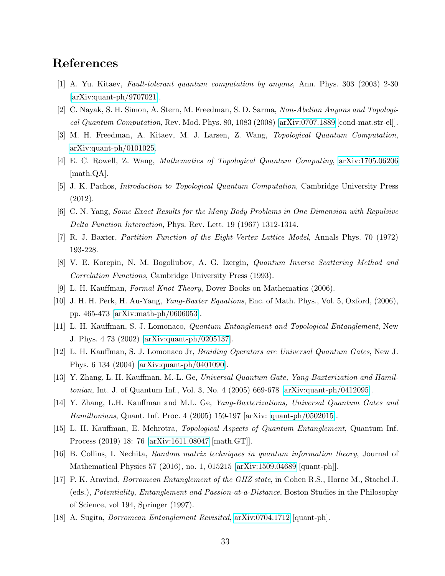# References

- <span id="page-33-0"></span>[1] A. Yu. Kitaev, Fault-tolerant quantum computation by anyons, Ann. Phys. 303 (2003) 2-30 [\[arXiv:quant-ph/9707021\]](http://arxiv.org/abs/quant-ph/9707021).
- [2] C. Nayak, S. H. Simon, A. Stern, M. Freedman, S. D. Sarma, Non-Abelian Anyons and Topological Quantum Computation, Rev. Mod. Phys. 80, 1083 (2008) [\[arXiv:0707.1889](http://arxiv.org/abs/0707.1889) [cond-mat.str-el]].
- [3] M. H. Freedman, A. Kitaev, M. J. Larsen, Z. Wang, Topological Quantum Computation, [arXiv:quant-ph/0101025.](http://arxiv.org/abs/quant-ph/0101025)
- [4] E. C. Rowell, Z. Wang, Mathematics of Topological Quantum Computing, [arXiv:1705.06206](http://arxiv.org/abs/1705.06206) [math.QA].
- <span id="page-33-1"></span>[5] J. K. Pachos, Introduction to Topological Quantum Computation, Cambridge University Press (2012).
- <span id="page-33-2"></span>[6] C. N. Yang, Some Exact Results for the Many Body Problems in One Dimension with Repulsive Delta Function Interaction, Phys. Rev. Lett. 19 (1967) 1312-1314.
- <span id="page-33-3"></span>[7] R. J. Baxter, Partition Function of the Eight-Vertex Lattice Model, Annals Phys. 70 (1972) 193-228.
- <span id="page-33-4"></span>[8] V. E. Korepin, N. M. Bogoliubov, A. G. Izergin, Quantum Inverse Scattering Method and Correlation Functions, Cambridge University Press (1993).
- <span id="page-33-5"></span>[9] L. H. Kauffman, Formal Knot Theory, Dover Books on Mathematics (2006).
- <span id="page-33-6"></span>[10] J. H. H. Perk, H. Au-Yang, Yang-Baxter Equations, Enc. of Math. Phys., Vol. 5, Oxford, (2006), pp. 465-473 [\[arXiv:math-ph/0606053\]](http://arxiv.org/abs/math-ph/0606053).
- <span id="page-33-7"></span>[11] L. H. Kauffman, S. J. Lomonaco, Quantum Entanglement and Topological Entanglement, New J. Phys. 4 73 (2002) [\[arXiv:quant-ph/0205137\]](http://arxiv.org/abs/quant-ph/0205137).
- [12] L. H. Kauffman, S. J. Lomonaco Jr, Braiding Operators are Universal Quantum Gates, New J. Phys. 6 134 (2004) [\[arXiv:quant-ph/0401090\]](http://arxiv.org/abs/quant-ph/0401090).
- [13] Y. Zhang, L. H. Kauffman, M.-L. Ge, Universal Quantum Gate, Yang-Baxterization and Hamiltonian, Int. J. of Quantum Inf., Vol. 3, No. 4 (2005) 669-678 [\[arXiv:quant-ph/0412095\]](http://arxiv.org/abs/quant-ph/0412095).
- [14] Y. Zhang, L.H. Kauffman and M.L. Ge, Yang-Baxterizations, Universal Quantum Gates and Hamiltonians, Quant. Inf. Proc. 4 (2005) 159-197 [arXiv: [quant-ph/0502015\]](http://arxiv.org/abs/quant-ph/0502015).
- <span id="page-33-8"></span>[15] L. H. Kauffman, E. Mehrotra, Topological Aspects of Quantum Entanglement, Quantum Inf. Process (2019) 18: 76 [\[arXiv:1611.08047](http://arxiv.org/abs/1611.08047) [math.GT]].
- <span id="page-33-10"></span>[16] B. Collins, I. Nechita, Random matrix techniques in quantum information theory, Journal of Mathematical Physics 57 (2016), no. 1, 015215 [\[arXiv:1509.04689](http://arxiv.org/abs/1509.04689) [quant-ph]].
- <span id="page-33-9"></span>[17] P. K. Aravind, Borromean Entanglement of the GHZ state, in Cohen R.S., Horne M., Stachel J. (eds.), Potentiality, Entanglement and Passion-at-a-Distance, Boston Studies in the Philosophy of Science, vol 194, Springer (1997).
- <span id="page-33-11"></span>[18] A. Sugita, Borromean Entanglement Revisited, [arXiv:0704.1712](http://arxiv.org/abs/0704.1712) [quant-ph].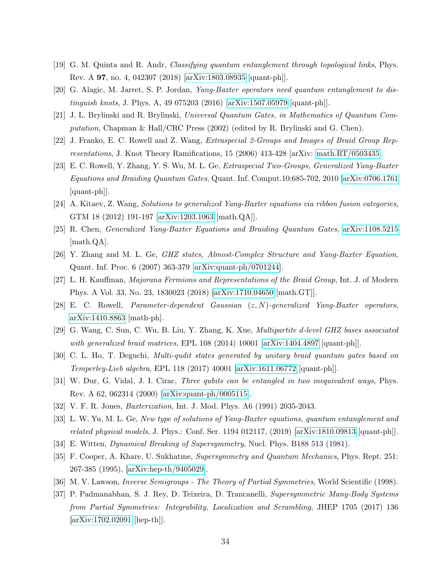- <span id="page-34-11"></span>[19] G. M. Quinta and R. Andr, Classifying quantum entanglement through topological links, Phys. Rev. A 97, no. 4, 042307 (2018) [\[arXiv:1803.08935](http://arxiv.org/abs/1803.08935) [quant-ph]].
- <span id="page-34-0"></span>[20] G. Alagic, M. Jarret, S. P. Jordan, Yang-Baxter operators need quantum entanglement to distinguish knots, J. Phys. A, 49 075203 (2016) [\[arXiv:1507.05979](http://arxiv.org/abs/1507.05979) [quant-ph]].
- <span id="page-34-1"></span>[21] J. L. Brylinski and R. Brylinski, Universal Quantum Gates, in Mathematics of Quantum Computation, Chapman & Hall/CRC Press (2002) (edited by R. Brylinski and G. Chen).
- <span id="page-34-2"></span>[22] J. Franko, E. C. Rowell and Z. Wang, Extraspecial 2-Groups and Images of Braid Group Representations, J. Knot Theory Ramifications, 15 (2006) 413-428 [arXiv: [math.RT/0503435\]](http://arxiv.org/abs/math/0503435).
- <span id="page-34-3"></span>[23] E. C. Rowell, Y. Zhang, Y. S. Wu, M. L. Ge, Extraspecial Two-Groups, Generalized Yang-Baxter Equations and Braiding Quantum Gates, Quant. Inf. Comput.10:685-702, 2010 [\[arXiv:0706.1761](http://arxiv.org/abs/0706.1761) [quant-ph]].
- <span id="page-34-4"></span>[24] A. Kitaev, Z. Wang, Solutions to generalized Yang-Baxter equations via ribbon fusion categories, GTM 18 (2012) 191-197 [\[arXiv:1203.1063](http://arxiv.org/abs/1203.1063) [math.QA]].
- <span id="page-34-5"></span>[25] R. Chen, Generalized Yang-Baxter Equations and Braiding Quantum Gates, [arXiv:1108.5215](http://arxiv.org/abs/1108.5215) [math.QA].
- <span id="page-34-6"></span>[26] Y. Zhang and M. L. Ge, GHZ states, Almost-Complex Structure and Yang-Baxter Equation, Quant. Inf. Proc. 6 (2007) 363-379 [\[arXiv:quant-ph/0701244\]](http://arxiv.org/abs/quant-ph/0701244).
- <span id="page-34-7"></span>[27] L. H. Kauffman, Majorana Fermions and Representations of the Braid Group, Int. J. of Modern Phys. A Vol. 33, No. 23, 1830023 (2018) [\[arXiv:1710.04650](http://arxiv.org/abs/1710.04650) [math.GT]].
- <span id="page-34-8"></span>[28] E. C. Rowell, Parameter-dependent Gaussian (z, N)-generalized Yang-Baxter operators, [arXiv:1410.8863](http://arxiv.org/abs/1410.8863) [math-ph].
- [29] G. Wang, C. Sun, C. Wu, B. Liu, Y. Zhang, K. Xue, Multipartite d-level GHZ bases associated with generalized braid matrices, EPL 108 (2014) 10001 [\[arXiv:1404.4897](http://arxiv.org/abs/1404.4897) [quant-ph]].
- <span id="page-34-9"></span>[30] C. L. Ho, T. Deguchi, Multi-qudit states generated by unitary braid quantum gates based on Temperley-Lieb algebra, EPL 118 (2017) 40001 [\[arXiv:1611.06772](http://arxiv.org/abs/1611.06772) [quant-ph]].
- <span id="page-34-10"></span>[31] W. Dur, G. Vidal, J. I. Cirac, Three qubits can be entangled in two inequivalent ways, Phys. Rev. A 62, 062314 (2000) [\[arXiv:quant-ph/0005115\]](http://arxiv.org/abs/quant-ph/0005115).
- <span id="page-34-12"></span>[32] V. F. R. Jones, Baxterization, Int. J. Mod. Phys. A6 (1991) 2035-2043.
- <span id="page-34-17"></span>[33] L. W. Yu, M. L. Ge, New type of solutions of Yang-Baxter equations, quantum entanglement and related physical models, J. Phys.: Conf. Ser. 1194 012117, (2019) [\[arXiv:1810.09813](http://arxiv.org/abs/1810.09813) [quant-ph]].
- <span id="page-34-13"></span>[34] E. Witten, Dynamical Breaking of Supersymmetry, Nucl. Phys. B188 513 (1981).
- <span id="page-34-14"></span>[35] F. Cooper, A. Khare, U. Sukhatme, Supersymmetry and Quantum Mechanics, Phys. Rept. 251: 267-385 (1995), [\[arXiv:hep-th/9405029\]](http://arxiv.org/abs/hep-th/9405029).
- <span id="page-34-15"></span>[36] M. V. Lawson, Inverse Semigroups - The Theory of Partial Symmetries, World Scientific (1998).
- <span id="page-34-16"></span>[37] P. Padmanabhan, S. J. Rey, D. Teixeira, D. Trancanelli, Supersymmetric Many-Body Systems from Partial Symmetries: Integrability, Localization and Scrambling, JHEP 1705 (2017) 136 [\[arXiv:1702.02091](http://arxiv.org/abs/1702.02091) [hep-th]].